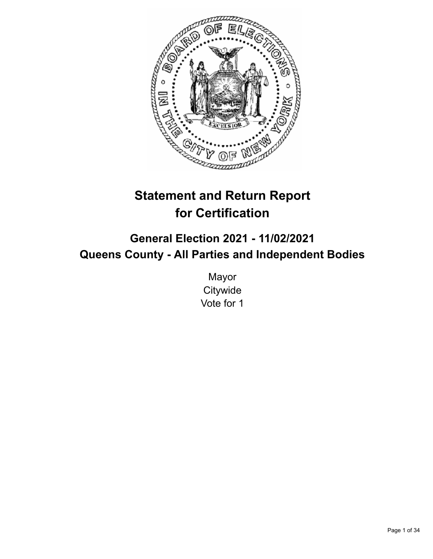

# **Statement and Return Report for Certification**

## **General Election 2021 - 11/02/2021 Queens County - All Parties and Independent Bodies**

Mayor **Citywide** Vote for 1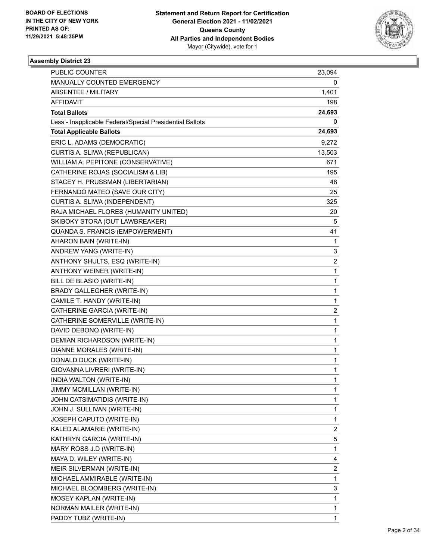

| PUBLIC COUNTER                                           | 23,094                  |
|----------------------------------------------------------|-------------------------|
| MANUALLY COUNTED EMERGENCY                               | 0                       |
| <b>ABSENTEE / MILITARY</b>                               | 1,401                   |
| AFFIDAVIT                                                | 198                     |
| <b>Total Ballots</b>                                     | 24,693                  |
| Less - Inapplicable Federal/Special Presidential Ballots | 0                       |
| <b>Total Applicable Ballots</b>                          | 24,693                  |
| ERIC L. ADAMS (DEMOCRATIC)                               | 9,272                   |
| CURTIS A. SLIWA (REPUBLICAN)                             | 13,503                  |
| WILLIAM A. PEPITONE (CONSERVATIVE)                       | 671                     |
| CATHERINE ROJAS (SOCIALISM & LIB)                        | 195                     |
| STACEY H. PRUSSMAN (LIBERTARIAN)                         | 48                      |
| FERNANDO MATEO (SAVE OUR CITY)                           | 25                      |
| CURTIS A. SLIWA (INDEPENDENT)                            | 325                     |
| RAJA MICHAEL FLORES (HUMANITY UNITED)                    | 20                      |
| SKIBOKY STORA (OUT LAWBREAKER)                           | 5                       |
| QUANDA S. FRANCIS (EMPOWERMENT)                          | 41                      |
| AHARON BAIN (WRITE-IN)                                   | 1                       |
| ANDREW YANG (WRITE-IN)                                   | 3                       |
| ANTHONY SHULTS, ESQ (WRITE-IN)                           | 2                       |
| ANTHONY WEINER (WRITE-IN)                                | 1                       |
| BILL DE BLASIO (WRITE-IN)                                | 1                       |
| <b>BRADY GALLEGHER (WRITE-IN)</b>                        | 1                       |
| CAMILE T. HANDY (WRITE-IN)                               | 1                       |
| CATHERINE GARCIA (WRITE-IN)                              | $\overline{\mathbf{c}}$ |
| CATHERINE SOMERVILLE (WRITE-IN)                          | 1                       |
| DAVID DEBONO (WRITE-IN)                                  | 1                       |
| DEMIAN RICHARDSON (WRITE-IN)                             | 1                       |
| DIANNE MORALES (WRITE-IN)                                | 1                       |
| DONALD DUCK (WRITE-IN)                                   | 1                       |
| GIOVANNA LIVRERI (WRITE-IN)                              | 1                       |
| INDIA WALTON (WRITE-IN)                                  | 1                       |
| JIMMY MCMILLAN (WRITE-IN)                                | 1                       |
| JOHN CATSIMATIDIS (WRITE-IN)                             | 1                       |
| JOHN J. SULLIVAN (WRITE-IN)                              | 1                       |
| JOSEPH CAPUTO (WRITE-IN)                                 | $\mathbf{1}$            |
| KALED ALAMARIE (WRITE-IN)                                | 2                       |
| KATHRYN GARCIA (WRITE-IN)                                | 5                       |
| MARY ROSS J.D (WRITE-IN)                                 | $\mathbf{1}$            |
| MAYA D. WILEY (WRITE-IN)                                 | 4                       |
| MEIR SILVERMAN (WRITE-IN)                                | 2                       |
| MICHAEL AMMIRABLE (WRITE-IN)                             | $\mathbf{1}$            |
| MICHAEL BLOOMBERG (WRITE-IN)                             | 3                       |
| MOSEY KAPLAN (WRITE-IN)                                  | 1                       |
| <b>NORMAN MAILER (WRITE-IN)</b>                          | 1                       |
| PADDY TUBZ (WRITE-IN)                                    | 1                       |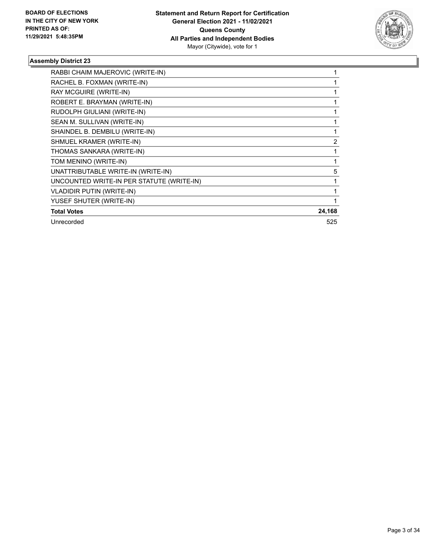

| RABBI CHAIM MAJEROVIC (WRITE-IN)          |                |
|-------------------------------------------|----------------|
| RACHEL B. FOXMAN (WRITE-IN)               |                |
| RAY MCGUIRE (WRITE-IN)                    |                |
| ROBERT E. BRAYMAN (WRITE-IN)              |                |
| RUDOLPH GIULIANI (WRITE-IN)               |                |
| SEAN M. SULLIVAN (WRITE-IN)               |                |
| SHAINDEL B. DEMBILU (WRITE-IN)            |                |
| SHMUEL KRAMER (WRITE-IN)                  | $\overline{2}$ |
| THOMAS SANKARA (WRITE-IN)                 |                |
| TOM MENINO (WRITE-IN)                     |                |
| UNATTRIBUTABLE WRITE-IN (WRITE-IN)        | 5              |
| UNCOUNTED WRITE-IN PER STATUTE (WRITE-IN) |                |
| <b>VLADIDIR PUTIN (WRITE-IN)</b>          |                |
| YUSEF SHUTER (WRITE-IN)                   |                |
| <b>Total Votes</b>                        | 24,168         |
| Unrecorded                                | 525            |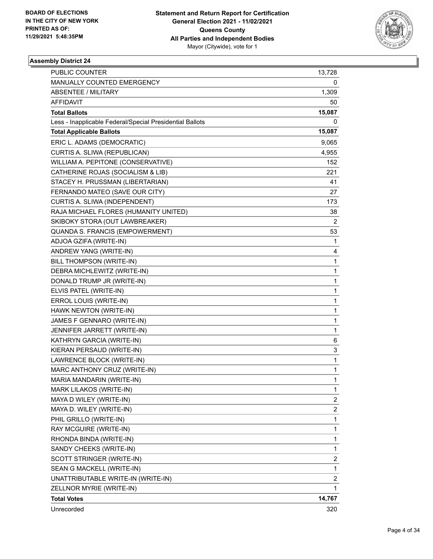

| PUBLIC COUNTER                                           | 13,728                  |
|----------------------------------------------------------|-------------------------|
| MANUALLY COUNTED EMERGENCY                               | 0                       |
| <b>ABSENTEE / MILITARY</b>                               | 1,309                   |
| AFFIDAVIT                                                | 50                      |
| <b>Total Ballots</b>                                     | 15,087                  |
| Less - Inapplicable Federal/Special Presidential Ballots | 0                       |
| <b>Total Applicable Ballots</b>                          | 15,087                  |
| ERIC L. ADAMS (DEMOCRATIC)                               | 9,065                   |
| CURTIS A. SLIWA (REPUBLICAN)                             | 4,955                   |
| WILLIAM A. PEPITONE (CONSERVATIVE)                       | 152                     |
| CATHERINE ROJAS (SOCIALISM & LIB)                        | 221                     |
| STACEY H. PRUSSMAN (LIBERTARIAN)                         | 41                      |
| FERNANDO MATEO (SAVE OUR CITY)                           | 27                      |
| CURTIS A. SLIWA (INDEPENDENT)                            | 173                     |
| RAJA MICHAEL FLORES (HUMANITY UNITED)                    | 38                      |
| SKIBOKY STORA (OUT LAWBREAKER)                           | 2                       |
| QUANDA S. FRANCIS (EMPOWERMENT)                          | 53                      |
| ADJOA GZIFA (WRITE-IN)                                   | 1                       |
| ANDREW YANG (WRITE-IN)                                   | 4                       |
| BILL THOMPSON (WRITE-IN)                                 | $\mathbf{1}$            |
| DEBRA MICHLEWITZ (WRITE-IN)                              | $\mathbf{1}$            |
| DONALD TRUMP JR (WRITE-IN)                               | $\mathbf 1$             |
| ELVIS PATEL (WRITE-IN)                                   | $\mathbf{1}$            |
| ERROL LOUIS (WRITE-IN)                                   | 1                       |
| HAWK NEWTON (WRITE-IN)                                   | $\mathbf{1}$            |
| JAMES F GENNARO (WRITE-IN)                               | $\mathbf{1}$            |
| JENNIFER JARRETT (WRITE-IN)                              | 1                       |
| KATHRYN GARCIA (WRITE-IN)                                | 6                       |
| KIERAN PERSAUD (WRITE-IN)                                | 3                       |
| LAWRENCE BLOCK (WRITE-IN)                                | $\mathbf{1}$            |
| MARC ANTHONY CRUZ (WRITE-IN)                             | $\mathbf{1}$            |
| MARIA MANDARIN (WRITE-IN)                                | $\mathbf{1}$            |
| MARK LILAKOS (WRITE-IN)                                  | 1                       |
| MAYA D WILEY (WRITE-IN)                                  | $\overline{c}$          |
| MAYA D. WILEY (WRITE-IN)                                 | 2                       |
| PHIL GRILLO (WRITE-IN)                                   | 1                       |
| RAY MCGUIRE (WRITE-IN)                                   | $\mathbf 1$             |
| RHONDA BINDA (WRITE-IN)                                  | $\mathbf{1}$            |
| SANDY CHEEKS (WRITE-IN)                                  | 1                       |
| SCOTT STRINGER (WRITE-IN)                                | $\overline{\mathbf{c}}$ |
| SEAN G MACKELL (WRITE-IN)                                | $\mathbf{1}$            |
| UNATTRIBUTABLE WRITE-IN (WRITE-IN)                       | 2                       |
| ZELLNOR MYRIE (WRITE-IN)                                 | $\mathbf{1}$            |
| <b>Total Votes</b>                                       | 14,767                  |
| Unrecorded                                               | 320                     |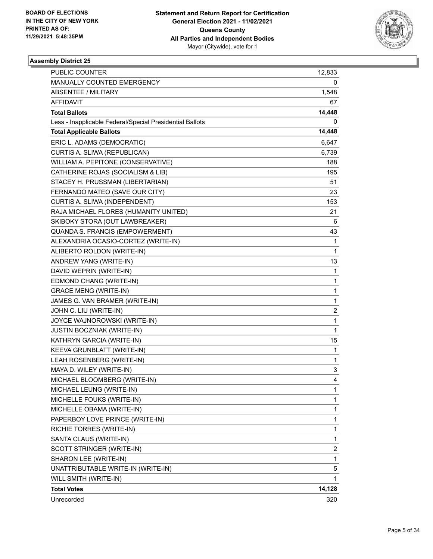

| PUBLIC COUNTER                                           | 12,833      |
|----------------------------------------------------------|-------------|
| MANUALLY COUNTED EMERGENCY                               | 0           |
| <b>ABSENTEE / MILITARY</b>                               | 1,548       |
| AFFIDAVIT                                                | 67          |
| <b>Total Ballots</b>                                     | 14,448      |
| Less - Inapplicable Federal/Special Presidential Ballots | 0           |
| <b>Total Applicable Ballots</b>                          | 14,448      |
| ERIC L. ADAMS (DEMOCRATIC)                               | 6,647       |
| CURTIS A. SLIWA (REPUBLICAN)                             | 6,739       |
| WILLIAM A. PEPITONE (CONSERVATIVE)                       | 188         |
| CATHERINE ROJAS (SOCIALISM & LIB)                        | 195         |
| STACEY H. PRUSSMAN (LIBERTARIAN)                         | 51          |
| FERNANDO MATEO (SAVE OUR CITY)                           | 23          |
| CURTIS A. SLIWA (INDEPENDENT)                            | 153         |
| RAJA MICHAEL FLORES (HUMANITY UNITED)                    | 21          |
| SKIBOKY STORA (OUT LAWBREAKER)                           | 6           |
| QUANDA S. FRANCIS (EMPOWERMENT)                          | 43          |
| ALEXANDRIA OCASIO-CORTEZ (WRITE-IN)                      | 1           |
| ALIBERTO ROLDON (WRITE-IN)                               | 1           |
| ANDREW YANG (WRITE-IN)                                   | 13          |
| DAVID WEPRIN (WRITE-IN)                                  | 1           |
| EDMOND CHANG (WRITE-IN)                                  | 1           |
| <b>GRACE MENG (WRITE-IN)</b>                             | 1           |
| JAMES G. VAN BRAMER (WRITE-IN)                           | 1           |
| JOHN C. LIU (WRITE-IN)                                   | 2           |
| JOYCE WAJNOROWSKI (WRITE-IN)                             | 1           |
| <b>JUSTIN BOCZNIAK (WRITE-IN)</b>                        | 1           |
| KATHRYN GARCIA (WRITE-IN)                                | 15          |
| KEEVA GRUNBLATT (WRITE-IN)                               | $\mathbf 1$ |
| LEAH ROSENBERG (WRITE-IN)                                | 1           |
| MAYA D. WILEY (WRITE-IN)                                 | 3           |
| MICHAEL BLOOMBERG (WRITE-IN)                             | 4           |
| MICHAEL LEUNG (WRITE-IN)                                 | 1           |
| MICHELLE FOUKS (WRITE-IN)                                | 1           |
| MICHELLE OBAMA (WRITE-IN)                                | 1           |
| PAPERBOY LOVE PRINCE (WRITE-IN)                          | 1           |
| RICHIE TORRES (WRITE-IN)                                 | 1           |
| SANTA CLAUS (WRITE-IN)                                   | 1           |
| SCOTT STRINGER (WRITE-IN)                                | 2           |
| SHARON LEE (WRITE-IN)                                    | 1           |
| UNATTRIBUTABLE WRITE-IN (WRITE-IN)                       | 5           |
| WILL SMITH (WRITE-IN)                                    | 1           |
| <b>Total Votes</b>                                       | 14,128      |
| Unrecorded                                               | 320         |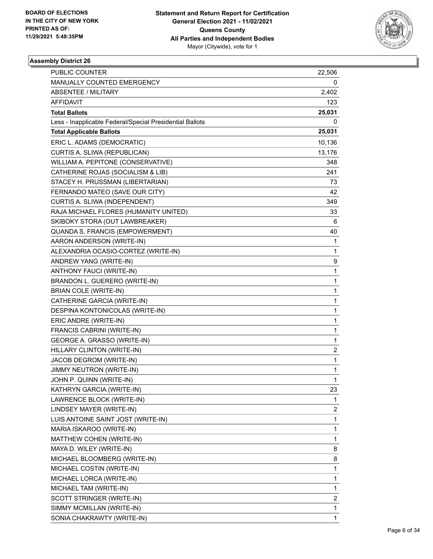

| PUBLIC COUNTER                                           | 22,506       |
|----------------------------------------------------------|--------------|
| MANUALLY COUNTED EMERGENCY                               | 0            |
| <b>ABSENTEE / MILITARY</b>                               | 2,402        |
| AFFIDAVIT                                                | 123          |
| <b>Total Ballots</b>                                     | 25,031       |
| Less - Inapplicable Federal/Special Presidential Ballots | 0            |
| <b>Total Applicable Ballots</b>                          | 25,031       |
| ERIC L. ADAMS (DEMOCRATIC)                               | 10,136       |
| CURTIS A. SLIWA (REPUBLICAN)                             | 13,176       |
| WILLIAM A. PEPITONE (CONSERVATIVE)                       | 348          |
| CATHERINE ROJAS (SOCIALISM & LIB)                        | 241          |
| STACEY H. PRUSSMAN (LIBERTARIAN)                         | 73           |
| FERNANDO MATEO (SAVE OUR CITY)                           | 42           |
| CURTIS A. SLIWA (INDEPENDENT)                            | 349          |
| RAJA MICHAEL FLORES (HUMANITY UNITED)                    | 33           |
| SKIBOKY STORA (OUT LAWBREAKER)                           | 6            |
| QUANDA S. FRANCIS (EMPOWERMENT)                          | 40           |
| AARON ANDERSON (WRITE-IN)                                | 1            |
| ALEXANDRIA OCASIO-CORTEZ (WRITE-IN)                      | 1            |
| ANDREW YANG (WRITE-IN)                                   | 9            |
| ANTHONY FAUCI (WRITE-IN)                                 | 1            |
| BRANDON L. GUERERO (WRITE-IN)                            | 1            |
| BRIAN COLE (WRITE-IN)                                    | 1            |
| CATHERINE GARCIA (WRITE-IN)                              | 1            |
| DESPINA KONTONICOLAS (WRITE-IN)                          | 1            |
| ERIC ANDRE (WRITE-IN)                                    | 1            |
| FRANCIS CABRINI (WRITE-IN)                               | 1            |
| GEORGE A. GRASSO (WRITE-IN)                              | 1            |
| HILLARY CLINTON (WRITE-IN)                               | 2            |
| JACOB DEGROM (WRITE-IN)                                  | 1            |
| JIMMY NEUTRON (WRITE-IN)                                 | 1            |
| JOHN P. QUINN (WRITE-IN)                                 | 1            |
| KATHRYN GARCIA (WRITE-IN)                                | 23           |
| LAWRENCE BLOCK (WRITE-IN)                                | 1            |
| LINDSEY MAYER (WRITE-IN)                                 | 2            |
| LUIS ANTOINE SAINT JOST (WRITE-IN)                       | $\mathbf{1}$ |
| MARIA ISKAROO (WRITE-IN)                                 | 1            |
| MATTHEW COHEN (WRITE-IN)                                 | 1            |
| MAYA D. WILEY (WRITE-IN)                                 | 8            |
| MICHAEL BLOOMBERG (WRITE-IN)                             | 8            |
| MICHAEL COSTIN (WRITE-IN)                                | 1            |
| MICHAEL LORCA (WRITE-IN)                                 | 1            |
| MICHAEL TAM (WRITE-IN)                                   | 1            |
| SCOTT STRINGER (WRITE-IN)                                | 2            |
| SIMMY MCMILLAN (WRITE-IN)                                | 1            |
| SONIA CHAKRAWTY (WRITE-IN)                               | 1            |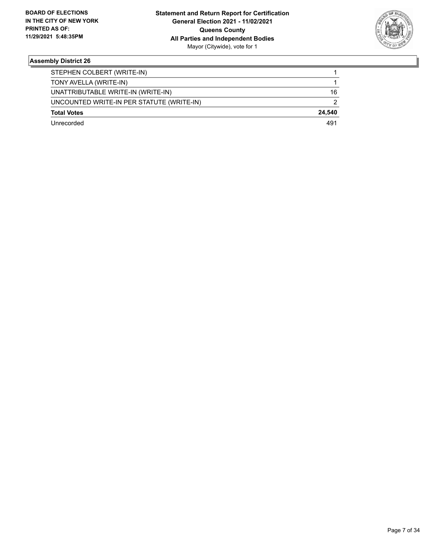

| STEPHEN COLBERT (WRITE-IN)                |        |
|-------------------------------------------|--------|
|                                           |        |
| TONY AVELLA (WRITE-IN)                    |        |
| UNATTRIBUTABLE WRITE-IN (WRITE-IN)        | 16     |
| UNCOUNTED WRITE-IN PER STATUTE (WRITE-IN) |        |
| <b>Total Votes</b>                        | 24.540 |
| Unrecorded                                | 491    |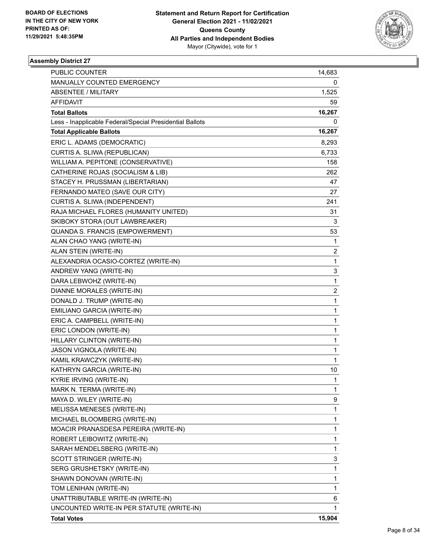

| PUBLIC COUNTER                                           | 14,683                  |
|----------------------------------------------------------|-------------------------|
| MANUALLY COUNTED EMERGENCY                               | 0                       |
| <b>ABSENTEE / MILITARY</b>                               | 1,525                   |
| AFFIDAVIT                                                | 59                      |
| <b>Total Ballots</b>                                     | 16,267                  |
| Less - Inapplicable Federal/Special Presidential Ballots | 0                       |
| <b>Total Applicable Ballots</b>                          | 16,267                  |
| ERIC L. ADAMS (DEMOCRATIC)                               | 8,293                   |
| CURTIS A. SLIWA (REPUBLICAN)                             | 6,733                   |
| WILLIAM A. PEPITONE (CONSERVATIVE)                       | 158                     |
| CATHERINE ROJAS (SOCIALISM & LIB)                        | 262                     |
| STACEY H. PRUSSMAN (LIBERTARIAN)                         | 47                      |
| FERNANDO MATEO (SAVE OUR CITY)                           | 27                      |
| CURTIS A. SLIWA (INDEPENDENT)                            | 241                     |
| RAJA MICHAEL FLORES (HUMANITY UNITED)                    | 31                      |
| SKIBOKY STORA (OUT LAWBREAKER)                           | 3                       |
| QUANDA S. FRANCIS (EMPOWERMENT)                          | 53                      |
| ALAN CHAO YANG (WRITE-IN)                                | 1                       |
| ALAN STEIN (WRITE-IN)                                    | $\overline{\mathbf{c}}$ |
| ALEXANDRIA OCASIO-CORTEZ (WRITE-IN)                      | 1                       |
| ANDREW YANG (WRITE-IN)                                   | 3                       |
| DARA LEBWOHZ (WRITE-IN)                                  | $\mathbf{1}$            |
| DIANNE MORALES (WRITE-IN)                                | 2                       |
| DONALD J. TRUMP (WRITE-IN)                               | $\mathbf 1$             |
| EMILIANO GARCIA (WRITE-IN)                               | $\mathbf{1}$            |
| ERIC A. CAMPBELL (WRITE-IN)                              | 1                       |
| ERIC LONDON (WRITE-IN)                                   | $\mathbf{1}$            |
| HILLARY CLINTON (WRITE-IN)                               | 1                       |
| JASON VIGNOLA (WRITE-IN)                                 | 1                       |
| KAMIL KRAWCZYK (WRITE-IN)                                | $\mathbf{1}$            |
| KATHRYN GARCIA (WRITE-IN)                                | 10                      |
| <b>KYRIE IRVING (WRITE-IN)</b>                           | $\mathbf{1}$            |
| MARK N. TERMA (WRITE-IN)                                 | $\mathbf{1}$            |
| MAYA D. WILEY (WRITE-IN)                                 | 9                       |
| MELISSA MENESES (WRITE-IN)                               | 1                       |
| MICHAEL BLOOMBERG (WRITE-IN)                             | 1                       |
| MOACIR PRANASDESA PEREIRA (WRITE-IN)                     | 1                       |
| ROBERT LEIBOWITZ (WRITE-IN)                              | 1                       |
| SARAH MENDELSBERG (WRITE-IN)                             | 1                       |
| SCOTT STRINGER (WRITE-IN)                                | 3                       |
| SERG GRUSHETSKY (WRITE-IN)                               | 1                       |
| SHAWN DONOVAN (WRITE-IN)                                 | 1                       |
| TOM LENIHAN (WRITE-IN)                                   | 1                       |
| UNATTRIBUTABLE WRITE-IN (WRITE-IN)                       | 6                       |
| UNCOUNTED WRITE-IN PER STATUTE (WRITE-IN)                | 1                       |
| <b>Total Votes</b>                                       | 15,904                  |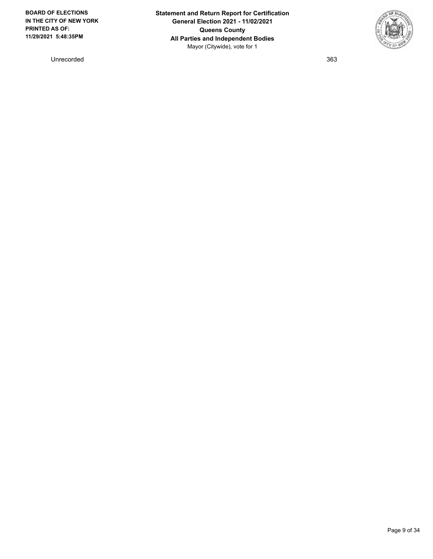Unrecorded 363

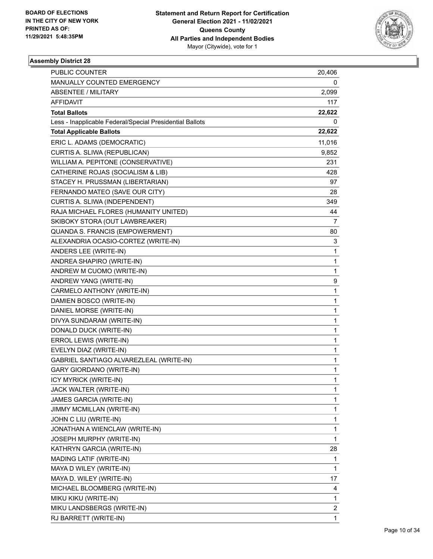

| <b>PUBLIC COUNTER</b>                                    | 20,406       |
|----------------------------------------------------------|--------------|
| MANUALLY COUNTED EMERGENCY                               | 0            |
| <b>ABSENTEE / MILITARY</b>                               | 2,099        |
| AFFIDAVIT                                                | 117          |
| <b>Total Ballots</b>                                     | 22,622       |
| Less - Inapplicable Federal/Special Presidential Ballots | 0            |
| <b>Total Applicable Ballots</b>                          | 22,622       |
| ERIC L. ADAMS (DEMOCRATIC)                               | 11,016       |
| CURTIS A. SLIWA (REPUBLICAN)                             | 9,852        |
| WILLIAM A. PEPITONE (CONSERVATIVE)                       | 231          |
| CATHERINE ROJAS (SOCIALISM & LIB)                        | 428          |
| STACEY H. PRUSSMAN (LIBERTARIAN)                         | 97           |
| FERNANDO MATEO (SAVE OUR CITY)                           | 28           |
| CURTIS A. SLIWA (INDEPENDENT)                            | 349          |
| RAJA MICHAEL FLORES (HUMANITY UNITED)                    | 44           |
| SKIBOKY STORA (OUT LAWBREAKER)                           | 7            |
| QUANDA S. FRANCIS (EMPOWERMENT)                          | 80           |
| ALEXANDRIA OCASIO-CORTEZ (WRITE-IN)                      | 3            |
| ANDERS LEE (WRITE-IN)                                    | 1            |
| ANDREA SHAPIRO (WRITE-IN)                                | 1            |
| ANDREW M CUOMO (WRITE-IN)                                | 1            |
| ANDREW YANG (WRITE-IN)                                   | 9            |
| CARMELO ANTHONY (WRITE-IN)                               | 1            |
| DAMIEN BOSCO (WRITE-IN)                                  | 1            |
| DANIEL MORSE (WRITE-IN)                                  | 1            |
| DIVYA SUNDARAM (WRITE-IN)                                | 1            |
| DONALD DUCK (WRITE-IN)                                   | 1            |
| ERROL LEWIS (WRITE-IN)                                   | 1            |
| EVELYN DIAZ (WRITE-IN)                                   | 1            |
| GABRIEL SANTIAGO ALVAREZLEAL (WRITE-IN)                  | 1            |
| <b>GARY GIORDANO (WRITE-IN)</b>                          | $\mathbf{1}$ |
| ICY MYRICK (WRITE-IN)                                    | $\mathbf{1}$ |
| JACK WALTER (WRITE-IN)                                   | 1            |
| JAMES GARCIA (WRITE-IN)                                  | 1            |
| JIMMY MCMILLAN (WRITE-IN)                                | 1            |
| JOHN C LIU (WRITE-IN)                                    | 1            |
| JONATHAN A WIENCLAW (WRITE-IN)                           | 1            |
| <b>JOSEPH MURPHY (WRITE-IN)</b>                          | 1            |
| KATHRYN GARCIA (WRITE-IN)                                | 28           |
| MADING LATIF (WRITE-IN)                                  | 1            |
| MAYA D WILEY (WRITE-IN)                                  | 1            |
| MAYA D. WILEY (WRITE-IN)                                 | 17           |
| MICHAEL BLOOMBERG (WRITE-IN)                             | 4            |
| MIKU KIKU (WRITE-IN)                                     | 1            |
| MIKU LANDSBERGS (WRITE-IN)                               | 2            |
| RJ BARRETT (WRITE-IN)                                    | $\mathbf{1}$ |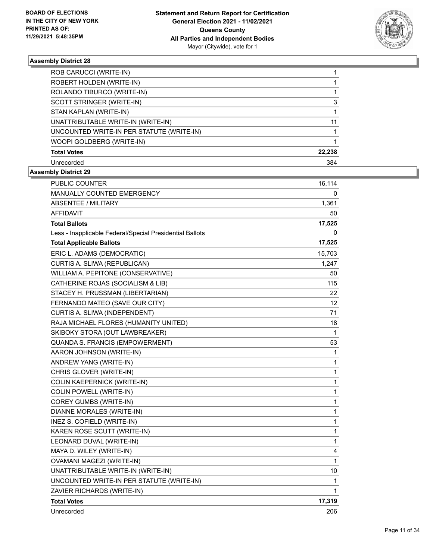

| ROB CARUCCI (WRITE-IN)                    |        |
|-------------------------------------------|--------|
| ROBERT HOLDEN (WRITE-IN)                  |        |
| ROLANDO TIBURCO (WRITE-IN)                |        |
| SCOTT STRINGER (WRITE-IN)                 | 3      |
| STAN KAPLAN (WRITE-IN)                    |        |
| UNATTRIBUTABLE WRITE-IN (WRITE-IN)        | 11     |
| UNCOUNTED WRITE-IN PER STATUTE (WRITE-IN) |        |
| WOOPI GOLDBERG (WRITE-IN)                 |        |
| <b>Total Votes</b>                        | 22,238 |
| Unrecorded                                | 384    |

| PUBLIC COUNTER                                           | 16,114       |
|----------------------------------------------------------|--------------|
| <b>MANUALLY COUNTED EMERGENCY</b>                        | 0            |
| ABSENTEE / MILITARY                                      | 1,361        |
| AFFIDAVIT                                                | 50           |
| <b>Total Ballots</b>                                     | 17,525       |
| Less - Inapplicable Federal/Special Presidential Ballots | 0            |
| <b>Total Applicable Ballots</b>                          | 17,525       |
| ERIC L. ADAMS (DEMOCRATIC)                               | 15,703       |
| CURTIS A. SLIWA (REPUBLICAN)                             | 1,247        |
| WILLIAM A. PEPITONE (CONSERVATIVE)                       | 50           |
| CATHERINE ROJAS (SOCIALISM & LIB)                        | 115          |
| STACEY H. PRUSSMAN (LIBERTARIAN)                         | 22           |
| FERNANDO MATEO (SAVE OUR CITY)                           | 12           |
| CURTIS A. SLIWA (INDEPENDENT)                            | 71           |
| RAJA MICHAEL FLORES (HUMANITY UNITED)                    | 18           |
| SKIBOKY STORA (OUT LAWBREAKER)                           | $\mathbf{1}$ |
| QUANDA S. FRANCIS (EMPOWERMENT)                          | 53           |
| AARON JOHNSON (WRITE-IN)                                 | 1            |
| ANDREW YANG (WRITE-IN)                                   | 1            |
| CHRIS GLOVER (WRITE-IN)                                  | $\mathbf 1$  |
| COLIN KAEPERNICK (WRITE-IN)                              | 1            |
| COLIN POWELL (WRITE-IN)                                  | $\mathbf{1}$ |
| COREY GUMBS (WRITE-IN)                                   | $\mathbf{1}$ |
| DIANNE MORALES (WRITE-IN)                                | 1            |
| INEZ S. COFIELD (WRITE-IN)                               | $\mathbf 1$  |
| KAREN ROSE SCUTT (WRITE-IN)                              | 1            |
| LEONARD DUVAL (WRITE-IN)                                 | $\mathbf{1}$ |
| MAYA D. WILEY (WRITE-IN)                                 | 4            |
| OVAMANI MAGEZI (WRITE-IN)                                | $\mathbf 1$  |
| UNATTRIBUTABLE WRITE-IN (WRITE-IN)                       | 10           |
| UNCOUNTED WRITE-IN PER STATUTE (WRITE-IN)                | 1            |
| ZAVIER RICHARDS (WRITE-IN)                               | 1            |
| <b>Total Votes</b>                                       | 17,319       |
| Unrecorded                                               | 206          |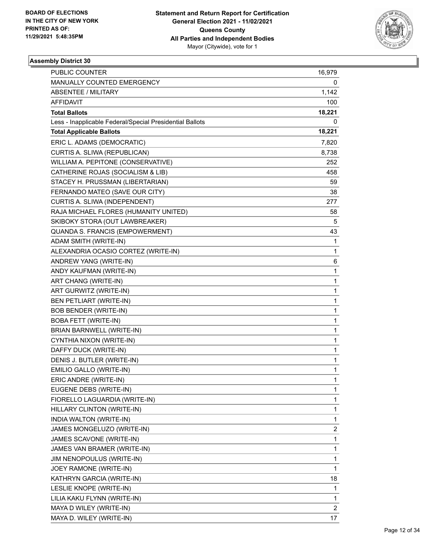

| PUBLIC COUNTER                                           | 16,979                  |
|----------------------------------------------------------|-------------------------|
| MANUALLY COUNTED EMERGENCY                               | 0                       |
| <b>ABSENTEE / MILITARY</b>                               | 1,142                   |
| AFFIDAVIT                                                | 100                     |
| <b>Total Ballots</b>                                     | 18,221                  |
| Less - Inapplicable Federal/Special Presidential Ballots | 0                       |
| <b>Total Applicable Ballots</b>                          | 18,221                  |
| ERIC L. ADAMS (DEMOCRATIC)                               | 7,820                   |
| CURTIS A. SLIWA (REPUBLICAN)                             | 8,738                   |
| WILLIAM A. PEPITONE (CONSERVATIVE)                       | 252                     |
| CATHERINE ROJAS (SOCIALISM & LIB)                        | 458                     |
| STACEY H. PRUSSMAN (LIBERTARIAN)                         | 59                      |
| FERNANDO MATEO (SAVE OUR CITY)                           | 38                      |
| CURTIS A. SLIWA (INDEPENDENT)                            | 277                     |
| RAJA MICHAEL FLORES (HUMANITY UNITED)                    | 58                      |
| SKIBOKY STORA (OUT LAWBREAKER)                           | 5                       |
| QUANDA S. FRANCIS (EMPOWERMENT)                          | 43                      |
| ADAM SMITH (WRITE-IN)                                    | 1                       |
| ALEXANDRIA OCASIO CORTEZ (WRITE-IN)                      | 1                       |
| ANDREW YANG (WRITE-IN)                                   | 6                       |
| ANDY KAUFMAN (WRITE-IN)                                  | 1                       |
| ART CHANG (WRITE-IN)                                     | 1                       |
| ART GURWITZ (WRITE-IN)                                   | 1                       |
| <b>BEN PETLIART (WRITE-IN)</b>                           | 1                       |
| <b>BOB BENDER (WRITE-IN)</b>                             | 1                       |
| <b>BOBA FETT (WRITE-IN)</b>                              | 1                       |
| BRIAN BARNWELL (WRITE-IN)                                | 1                       |
| CYNTHIA NIXON (WRITE-IN)                                 | 1                       |
| DAFFY DUCK (WRITE-IN)                                    | 1                       |
| DENIS J. BUTLER (WRITE-IN)                               | 1                       |
| EMILIO GALLO (WRITE-IN)                                  | 1                       |
| ERIC ANDRE (WRITE-IN)                                    | 1                       |
| EUGENE DEBS (WRITE-IN)                                   | 1                       |
| FIORELLO LAGUARDIA (WRITE-IN)                            | 1                       |
| HILLARY CLINTON (WRITE-IN)                               | 1                       |
| INDIA WALTON (WRITE-IN)                                  | $\mathbf{1}$            |
| JAMES MONGELUZO (WRITE-IN)                               | 2                       |
| JAMES SCAVONE (WRITE-IN)                                 | 1                       |
| JAMES VAN BRAMER (WRITE-IN)                              | 1                       |
| JIM NENOPOULUS (WRITE-IN)                                | 1                       |
| JOEY RAMONE (WRITE-IN)                                   | 1                       |
| KATHRYN GARCIA (WRITE-IN)                                | 18                      |
| LESLIE KNOPE (WRITE-IN)                                  | 1                       |
| LILIA KAKU FLYNN (WRITE-IN)                              | 1                       |
| MAYA D WILEY (WRITE-IN)                                  | $\overline{\mathbf{c}}$ |
| MAYA D. WILEY (WRITE-IN)                                 | 17                      |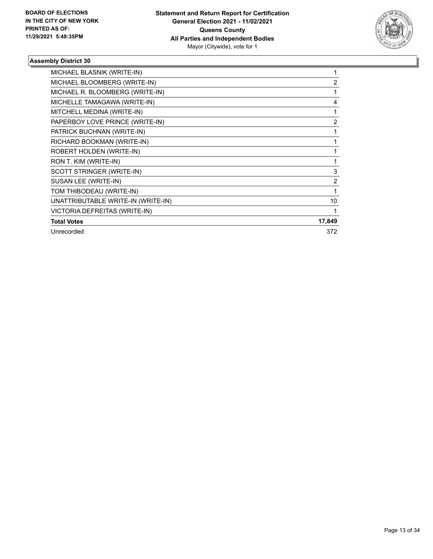

| MICHAEL BLASNIK (WRITE-IN)         |                |
|------------------------------------|----------------|
| MICHAEL BLOOMBERG (WRITE-IN)       | $\overline{2}$ |
| MICHAEL R. BLOOMBERG (WRITE-IN)    |                |
| MICHELLE TAMAGAWA (WRITE-IN)       | 4              |
| MITCHELL MEDINA (WRITE-IN)         |                |
| PAPERBOY LOVE PRINCE (WRITE-IN)    | $\overline{2}$ |
| PATRICK BUCHNAN (WRITE-IN)         |                |
| RICHARD BOOKMAN (WRITE-IN)         |                |
| ROBERT HOLDEN (WRITE-IN)           | 1              |
| RON T. KIM (WRITE-IN)              | 1              |
| SCOTT STRINGER (WRITE-IN)          | 3              |
| SUSAN LEE (WRITE-IN)               | $\overline{2}$ |
| TOM THIBODEAU (WRITE-IN)           |                |
| UNATTRIBUTABLE WRITE-IN (WRITE-IN) | 10             |
| VICTORIA DEFREITAS (WRITE-IN)      | 1              |
| <b>Total Votes</b>                 | 17,849         |
| Unrecorded                         | 372            |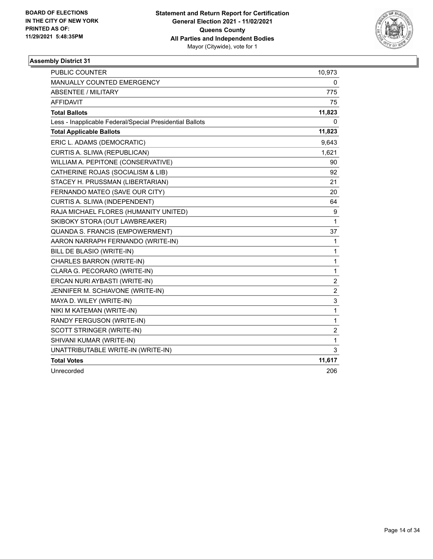

| <b>PUBLIC COUNTER</b>                                    | 10,973           |
|----------------------------------------------------------|------------------|
| MANUALLY COUNTED EMERGENCY                               | 0                |
| <b>ABSENTEE / MILITARY</b>                               | 775              |
| <b>AFFIDAVIT</b>                                         | 75               |
| <b>Total Ballots</b>                                     | 11,823           |
| Less - Inapplicable Federal/Special Presidential Ballots | 0                |
| <b>Total Applicable Ballots</b>                          | 11,823           |
| ERIC L. ADAMS (DEMOCRATIC)                               | 9,643            |
| CURTIS A. SLIWA (REPUBLICAN)                             | 1,621            |
| WILLIAM A. PEPITONE (CONSERVATIVE)                       | 90               |
| CATHERINE ROJAS (SOCIALISM & LIB)                        | 92               |
| STACEY H. PRUSSMAN (LIBERTARIAN)                         | 21               |
| FERNANDO MATEO (SAVE OUR CITY)                           | 20               |
| CURTIS A. SLIWA (INDEPENDENT)                            | 64               |
| RAJA MICHAEL FLORES (HUMANITY UNITED)                    | 9                |
| SKIBOKY STORA (OUT LAWBREAKER)                           | $\mathbf{1}$     |
| QUANDA S. FRANCIS (EMPOWERMENT)                          | 37               |
| AARON NARRAPH FERNANDO (WRITE-IN)                        | 1                |
| BILL DE BLASIO (WRITE-IN)                                | 1                |
| CHARLES BARRON (WRITE-IN)                                | 1                |
| CLARA G. PECORARO (WRITE-IN)                             | 1                |
| ERCAN NURI AYBASTI (WRITE-IN)                            | $\boldsymbol{2}$ |
| JENNIFER M. SCHIAVONE (WRITE-IN)                         | $\overline{c}$   |
| MAYA D. WILEY (WRITE-IN)                                 | 3                |
| NIKI M KATEMAN (WRITE-IN)                                | 1                |
| RANDY FERGUSON (WRITE-IN)                                | 1                |
| SCOTT STRINGER (WRITE-IN)                                | $\boldsymbol{2}$ |
| SHIVANI KUMAR (WRITE-IN)                                 | 1                |
| UNATTRIBUTABLE WRITE-IN (WRITE-IN)                       | 3                |
| <b>Total Votes</b>                                       | 11,617           |
| Unrecorded                                               | 206              |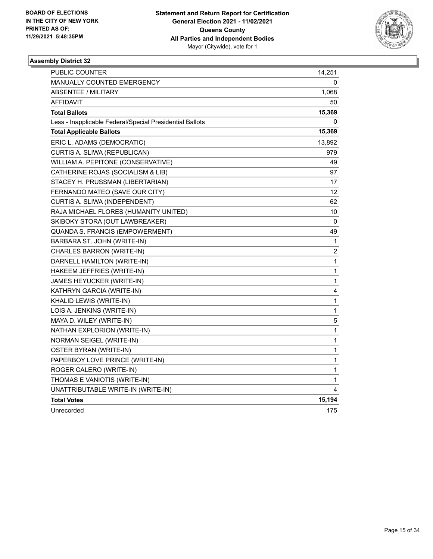

| PUBLIC COUNTER                                           | 14,251       |
|----------------------------------------------------------|--------------|
| MANUALLY COUNTED EMERGENCY                               | 0            |
| <b>ABSENTEE / MILITARY</b>                               | 1,068        |
| <b>AFFIDAVIT</b>                                         | 50           |
| <b>Total Ballots</b>                                     | 15,369       |
| Less - Inapplicable Federal/Special Presidential Ballots | 0            |
| <b>Total Applicable Ballots</b>                          | 15,369       |
| ERIC L. ADAMS (DEMOCRATIC)                               | 13,892       |
| CURTIS A. SLIWA (REPUBLICAN)                             | 979          |
| WILLIAM A. PEPITONE (CONSERVATIVE)                       | 49           |
| CATHERINE ROJAS (SOCIALISM & LIB)                        | 97           |
| STACEY H. PRUSSMAN (LIBERTARIAN)                         | 17           |
| FERNANDO MATEO (SAVE OUR CITY)                           | 12           |
| CURTIS A. SLIWA (INDEPENDENT)                            | 62           |
| RAJA MICHAEL FLORES (HUMANITY UNITED)                    | 10           |
| SKIBOKY STORA (OUT LAWBREAKER)                           | 0            |
| QUANDA S. FRANCIS (EMPOWERMENT)                          | 49           |
| BARBARA ST. JOHN (WRITE-IN)                              | 1            |
| CHARLES BARRON (WRITE-IN)                                | 2            |
| DARNELL HAMILTON (WRITE-IN)                              | 1            |
| HAKEEM JEFFRIES (WRITE-IN)                               | 1            |
| JAMES HEYUCKER (WRITE-IN)                                | $\mathbf 1$  |
| KATHRYN GARCIA (WRITE-IN)                                | 4            |
| KHALID LEWIS (WRITE-IN)                                  | $\mathbf{1}$ |
| LOIS A. JENKINS (WRITE-IN)                               | 1            |
| MAYA D. WILEY (WRITE-IN)                                 | 5            |
| NATHAN EXPLORION (WRITE-IN)                              | 1            |
| NORMAN SEIGEL (WRITE-IN)                                 | 1            |
| OSTER BYRAN (WRITE-IN)                                   | 1            |
| PAPERBOY LOVE PRINCE (WRITE-IN)                          | $\mathbf{1}$ |
| ROGER CALERO (WRITE-IN)                                  | 1            |
| THOMAS E VANIOTIS (WRITE-IN)                             | 1            |
| UNATTRIBUTABLE WRITE-IN (WRITE-IN)                       | 4            |
| <b>Total Votes</b>                                       | 15,194       |
| Unrecorded                                               | 175          |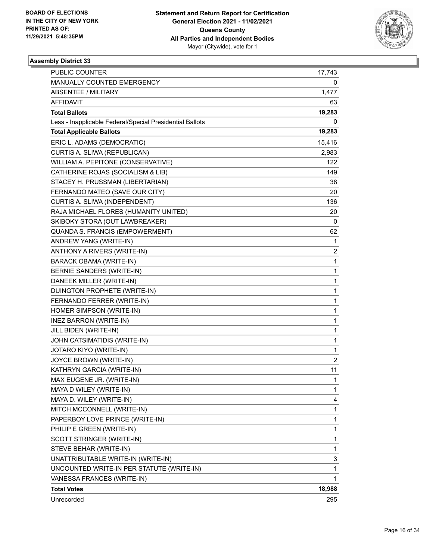

| PUBLIC COUNTER                                           | 17,743         |
|----------------------------------------------------------|----------------|
| MANUALLY COUNTED EMERGENCY                               | 0              |
| <b>ABSENTEE / MILITARY</b>                               | 1,477          |
| AFFIDAVIT                                                | 63             |
| <b>Total Ballots</b>                                     | 19,283         |
| Less - Inapplicable Federal/Special Presidential Ballots | 0              |
| <b>Total Applicable Ballots</b>                          | 19,283         |
| ERIC L. ADAMS (DEMOCRATIC)                               | 15,416         |
| CURTIS A. SLIWA (REPUBLICAN)                             | 2,983          |
| WILLIAM A. PEPITONE (CONSERVATIVE)                       | 122            |
| CATHERINE ROJAS (SOCIALISM & LIB)                        | 149            |
| STACEY H. PRUSSMAN (LIBERTARIAN)                         | 38             |
| FERNANDO MATEO (SAVE OUR CITY)                           | 20             |
| CURTIS A. SLIWA (INDEPENDENT)                            | 136            |
| RAJA MICHAEL FLORES (HUMANITY UNITED)                    | 20             |
| SKIBOKY STORA (OUT LAWBREAKER)                           | 0              |
| QUANDA S. FRANCIS (EMPOWERMENT)                          | 62             |
| ANDREW YANG (WRITE-IN)                                   | 1              |
| ANTHONY A RIVERS (WRITE-IN)                              | 2              |
| <b>BARACK OBAMA (WRITE-IN)</b>                           | 1              |
| BERNIE SANDERS (WRITE-IN)                                | 1              |
| DANEEK MILLER (WRITE-IN)                                 | 1              |
| DUINGTON PROPHETE (WRITE-IN)                             | 1              |
| FERNANDO FERRER (WRITE-IN)                               | 1              |
| HOMER SIMPSON (WRITE-IN)                                 | 1              |
| <b>INEZ BARRON (WRITE-IN)</b>                            | 1              |
| JILL BIDEN (WRITE-IN)                                    | 1              |
| JOHN CATSIMATIDIS (WRITE-IN)                             | 1              |
| JOTARO KIYO (WRITE-IN)                                   | 1              |
| JOYCE BROWN (WRITE-IN)                                   | $\overline{2}$ |
| KATHRYN GARCIA (WRITE-IN)                                | 11             |
| MAX EUGENE JR. (WRITE-IN)                                | $\mathbf{1}$   |
| MAYA D WILEY (WRITE-IN)                                  | 1              |
| MAYA D. WILEY (WRITE-IN)                                 | 4              |
| MITCH MCCONNELL (WRITE-IN)                               | 1              |
| PAPERBOY LOVE PRINCE (WRITE-IN)                          | 1              |
| PHILIP E GREEN (WRITE-IN)                                | 1              |
| SCOTT STRINGER (WRITE-IN)                                | 1              |
| STEVE BEHAR (WRITE-IN)                                   | 1              |
| UNATTRIBUTABLE WRITE-IN (WRITE-IN)                       | 3              |
| UNCOUNTED WRITE-IN PER STATUTE (WRITE-IN)                | 1              |
| VANESSA FRANCES (WRITE-IN)                               | 1              |
| <b>Total Votes</b>                                       | 18,988         |
| Unrecorded                                               | 295            |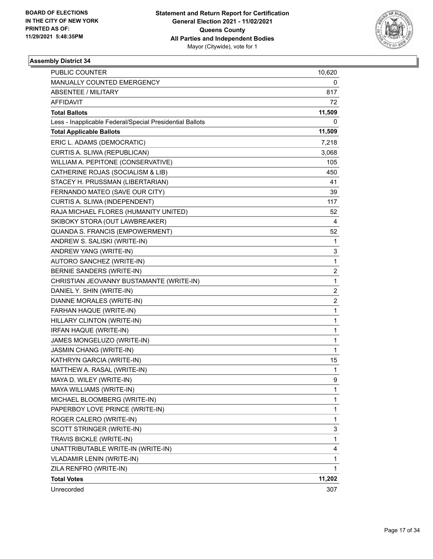

| PUBLIC COUNTER                                           | 10,620                  |
|----------------------------------------------------------|-------------------------|
| MANUALLY COUNTED EMERGENCY                               | 0                       |
| <b>ABSENTEE / MILITARY</b>                               | 817                     |
| AFFIDAVIT                                                | 72                      |
| <b>Total Ballots</b>                                     | 11,509                  |
| Less - Inapplicable Federal/Special Presidential Ballots | 0                       |
| <b>Total Applicable Ballots</b>                          | 11,509                  |
| ERIC L. ADAMS (DEMOCRATIC)                               | 7,218                   |
| CURTIS A. SLIWA (REPUBLICAN)                             | 3,068                   |
| WILLIAM A. PEPITONE (CONSERVATIVE)                       | 105                     |
| CATHERINE ROJAS (SOCIALISM & LIB)                        | 450                     |
| STACEY H. PRUSSMAN (LIBERTARIAN)                         | 41                      |
| FERNANDO MATEO (SAVE OUR CITY)                           | 39                      |
| CURTIS A. SLIWA (INDEPENDENT)                            | 117                     |
| RAJA MICHAEL FLORES (HUMANITY UNITED)                    | 52                      |
| SKIBOKY STORA (OUT LAWBREAKER)                           | 4                       |
| QUANDA S. FRANCIS (EMPOWERMENT)                          | 52                      |
| ANDREW S. SALISKI (WRITE-IN)                             | 1                       |
| ANDREW YANG (WRITE-IN)                                   | 3                       |
| AUTORO SANCHEZ (WRITE-IN)                                | $\mathbf 1$             |
| BERNIE SANDERS (WRITE-IN)                                | $\overline{\mathbf{c}}$ |
| CHRISTIAN JEOVANNY BUSTAMANTE (WRITE-IN)                 | $\mathbf 1$             |
| DANIEL Y. SHIN (WRITE-IN)                                | $\overline{2}$          |
| DIANNE MORALES (WRITE-IN)                                | $\overline{\mathbf{c}}$ |
| FARHAN HAQUE (WRITE-IN)                                  | 1                       |
| HILLARY CLINTON (WRITE-IN)                               | 1                       |
| IRFAN HAQUE (WRITE-IN)                                   | $\mathbf 1$             |
| JAMES MONGELUZO (WRITE-IN)                               | 1                       |
| <b>JASMIN CHANG (WRITE-IN)</b>                           | 1                       |
| KATHRYN GARCIA (WRITE-IN)                                | 15                      |
| MATTHEW A. RASAL (WRITE-IN)                              | 1                       |
| MAYA D. WILEY (WRITE-IN)                                 | 9                       |
| MAYA WILLIAMS (WRITE-IN)                                 | 1                       |
| MICHAEL BLOOMBERG (WRITE-IN)                             | 1                       |
| PAPERBOY LOVE PRINCE (WRITE-IN)                          | 1                       |
| ROGER CALERO (WRITE-IN)                                  | 1                       |
| SCOTT STRINGER (WRITE-IN)                                | 3                       |
| TRAVIS BICKLE (WRITE-IN)                                 | 1                       |
| UNATTRIBUTABLE WRITE-IN (WRITE-IN)                       | 4                       |
| VLADAMIR LENIN (WRITE-IN)                                | 1                       |
| ZILA RENFRO (WRITE-IN)                                   | 1                       |
| <b>Total Votes</b>                                       | 11,202                  |
| Unrecorded                                               | 307                     |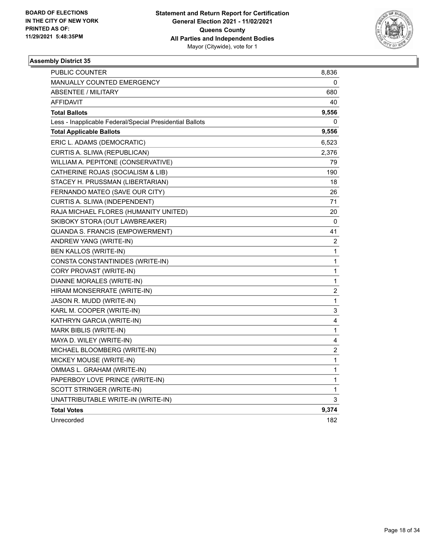

| PUBLIC COUNTER                                           | 8,836 |
|----------------------------------------------------------|-------|
| <b>MANUALLY COUNTED EMERGENCY</b>                        | 0     |
| <b>ABSENTEE / MILITARY</b>                               | 680   |
| <b>AFFIDAVIT</b>                                         | 40    |
| <b>Total Ballots</b>                                     | 9,556 |
| Less - Inapplicable Federal/Special Presidential Ballots | 0     |
| <b>Total Applicable Ballots</b>                          | 9,556 |
| ERIC L. ADAMS (DEMOCRATIC)                               | 6,523 |
| CURTIS A. SLIWA (REPUBLICAN)                             | 2,376 |
| WILLIAM A. PEPITONE (CONSERVATIVE)                       | 79    |
| CATHERINE ROJAS (SOCIALISM & LIB)                        | 190   |
| STACEY H. PRUSSMAN (LIBERTARIAN)                         | 18    |
| FERNANDO MATEO (SAVE OUR CITY)                           | 26    |
| CURTIS A. SLIWA (INDEPENDENT)                            | 71    |
| RAJA MICHAEL FLORES (HUMANITY UNITED)                    | 20    |
| SKIBOKY STORA (OUT LAWBREAKER)                           | 0     |
| QUANDA S. FRANCIS (EMPOWERMENT)                          | 41    |
| ANDREW YANG (WRITE-IN)                                   | 2     |
| <b>BEN KALLOS (WRITE-IN)</b>                             | 1     |
| CONSTA CONSTANTINIDES (WRITE-IN)                         | 1     |
| CORY PROVAST (WRITE-IN)                                  | 1     |
| DIANNE MORALES (WRITE-IN)                                | 1     |
| HIRAM MONSERRATE (WRITE-IN)                              | 2     |
| JASON R. MUDD (WRITE-IN)                                 | 1     |
| KARL M. COOPER (WRITE-IN)                                | 3     |
| KATHRYN GARCIA (WRITE-IN)                                | 4     |
| <b>MARK BIBLIS (WRITE-IN)</b>                            | 1     |
| MAYA D. WILEY (WRITE-IN)                                 | 4     |
| MICHAEL BLOOMBERG (WRITE-IN)                             | 2     |
| MICKEY MOUSE (WRITE-IN)                                  | 1     |
| OMMAS L. GRAHAM (WRITE-IN)                               | 1     |
| PAPERBOY LOVE PRINCE (WRITE-IN)                          | 1     |
| SCOTT STRINGER (WRITE-IN)                                | 1     |
| UNATTRIBUTABLE WRITE-IN (WRITE-IN)                       | 3     |
| <b>Total Votes</b>                                       | 9,374 |
| Unrecorded                                               | 182   |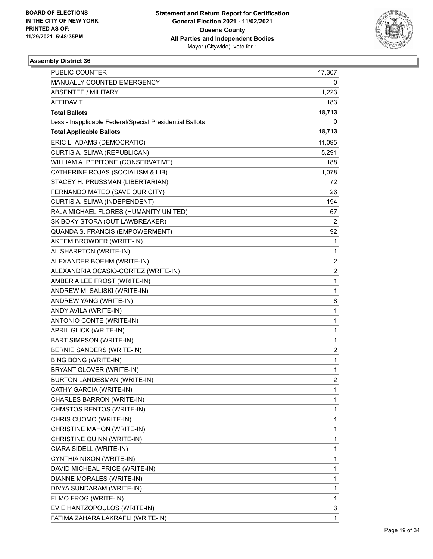

| <b>PUBLIC COUNTER</b>                                    | 17,307                  |
|----------------------------------------------------------|-------------------------|
| MANUALLY COUNTED EMERGENCY                               | 0                       |
| <b>ABSENTEE / MILITARY</b>                               | 1,223                   |
| AFFIDAVIT                                                | 183                     |
| <b>Total Ballots</b>                                     | 18,713                  |
| Less - Inapplicable Federal/Special Presidential Ballots | 0                       |
| <b>Total Applicable Ballots</b>                          | 18,713                  |
| ERIC L. ADAMS (DEMOCRATIC)                               | 11,095                  |
| CURTIS A. SLIWA (REPUBLICAN)                             | 5,291                   |
| WILLIAM A. PEPITONE (CONSERVATIVE)                       | 188                     |
| CATHERINE ROJAS (SOCIALISM & LIB)                        | 1,078                   |
| STACEY H. PRUSSMAN (LIBERTARIAN)                         | 72                      |
| FERNANDO MATEO (SAVE OUR CITY)                           | 26                      |
| CURTIS A. SLIWA (INDEPENDENT)                            | 194                     |
| RAJA MICHAEL FLORES (HUMANITY UNITED)                    | 67                      |
| SKIBOKY STORA (OUT LAWBREAKER)                           | $\overline{2}$          |
| QUANDA S. FRANCIS (EMPOWERMENT)                          | 92                      |
| AKEEM BROWDER (WRITE-IN)                                 | 1                       |
| AL SHARPTON (WRITE-IN)                                   | 1                       |
| ALEXANDER BOEHM (WRITE-IN)                               | 2                       |
| ALEXANDRIA OCASIO-CORTEZ (WRITE-IN)                      | $\overline{\mathbf{c}}$ |
| AMBER A LEE FROST (WRITE-IN)                             | 1                       |
| ANDREW M. SALISKI (WRITE-IN)                             | 1                       |
| ANDREW YANG (WRITE-IN)                                   | 8                       |
| ANDY AVILA (WRITE-IN)                                    | 1                       |
| ANTONIO CONTE (WRITE-IN)                                 | 1                       |
| APRIL GLICK (WRITE-IN)                                   | 1                       |
| <b>BART SIMPSON (WRITE-IN)</b>                           | 1                       |
| BERNIE SANDERS (WRITE-IN)                                | $\overline{2}$          |
| <b>BING BONG (WRITE-IN)</b>                              | 1                       |
| BRYANT GLOVER (WRITE-IN)                                 | 1                       |
| <b>BURTON LANDESMAN (WRITE-IN)</b>                       | $\overline{c}$          |
| CATHY GARCIA (WRITE-IN)                                  | 1                       |
| CHARLES BARRON (WRITE-IN)                                | 1                       |
| CHMSTOS RENTOS (WRITE-IN)                                | 1                       |
| CHRIS CUOMO (WRITE-IN)                                   | 1                       |
| CHRISTINE MAHON (WRITE-IN)                               | 1                       |
| CHRISTINE QUINN (WRITE-IN)                               | 1                       |
| CIARA SIDELL (WRITE-IN)                                  | 1                       |
| CYNTHIA NIXON (WRITE-IN)                                 | 1                       |
| DAVID MICHEAL PRICE (WRITE-IN)                           | 1                       |
| DIANNE MORALES (WRITE-IN)                                | 1                       |
| DIVYA SUNDARAM (WRITE-IN)                                | 1                       |
| ELMO FROG (WRITE-IN)                                     | 1                       |
| EVIE HANTZOPOULOS (WRITE-IN)                             | 3                       |
| FATIMA ZAHARA LAKRAFLI (WRITE-IN)                        | 1                       |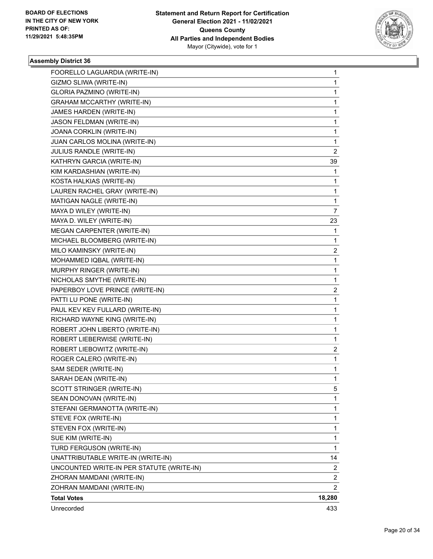

| JAMES HARDEN (WRITE-IN)<br>1<br>JASON FELDMAN (WRITE-IN)<br>1<br>JOANA CORKLIN (WRITE-IN)<br>1<br>JUAN CARLOS MOLINA (WRITE-IN)<br>1<br>$\overline{2}$<br>JULIUS RANDLE (WRITE-IN)<br>KATHRYN GARCIA (WRITE-IN)<br>39<br>KIM KARDASHIAN (WRITE-IN)<br>1<br>1<br>KOSTA HALKIAS (WRITE-IN)<br>LAUREN RACHEL GRAY (WRITE-IN)<br>1<br>MATIGAN NAGLE (WRITE-IN)<br>1<br>7<br>MAYA D WILEY (WRITE-IN)<br>MAYA D. WILEY (WRITE-IN)<br>23<br>MEGAN CARPENTER (WRITE-IN)<br>1<br>1<br>MICHAEL BLOOMBERG (WRITE-IN)<br>MILO KAMINSKY (WRITE-IN)<br>2<br>MOHAMMED IQBAL (WRITE-IN)<br>1<br>1<br>MURPHY RINGER (WRITE-IN)<br>NICHOLAS SMYTHE (WRITE-IN)<br>1<br>PAPERBOY LOVE PRINCE (WRITE-IN)<br>2<br>1<br>PATTI LU PONE (WRITE-IN)<br>PAUL KEV KEV FULLARD (WRITE-IN)<br>1<br>RICHARD WAYNE KING (WRITE-IN)<br>1<br>ROBERT JOHN LIBERTO (WRITE-IN)<br>1<br>ROBERT LIEBERWISE (WRITE-IN)<br>1<br>ROBERT LIEBOWITZ (WRITE-IN)<br>2<br>1<br>ROGER CALERO (WRITE-IN)<br>SAM SEDER (WRITE-IN)<br>1<br>SARAH DEAN (WRITE-IN)<br>1<br>SCOTT STRINGER (WRITE-IN)<br>5<br>SEAN DONOVAN (WRITE-IN)<br>1 |
|--------------------------------------------------------------------------------------------------------------------------------------------------------------------------------------------------------------------------------------------------------------------------------------------------------------------------------------------------------------------------------------------------------------------------------------------------------------------------------------------------------------------------------------------------------------------------------------------------------------------------------------------------------------------------------------------------------------------------------------------------------------------------------------------------------------------------------------------------------------------------------------------------------------------------------------------------------------------------------------------------------------------------------------------------------------------------------------|
|                                                                                                                                                                                                                                                                                                                                                                                                                                                                                                                                                                                                                                                                                                                                                                                                                                                                                                                                                                                                                                                                                      |
|                                                                                                                                                                                                                                                                                                                                                                                                                                                                                                                                                                                                                                                                                                                                                                                                                                                                                                                                                                                                                                                                                      |
|                                                                                                                                                                                                                                                                                                                                                                                                                                                                                                                                                                                                                                                                                                                                                                                                                                                                                                                                                                                                                                                                                      |
|                                                                                                                                                                                                                                                                                                                                                                                                                                                                                                                                                                                                                                                                                                                                                                                                                                                                                                                                                                                                                                                                                      |
|                                                                                                                                                                                                                                                                                                                                                                                                                                                                                                                                                                                                                                                                                                                                                                                                                                                                                                                                                                                                                                                                                      |
|                                                                                                                                                                                                                                                                                                                                                                                                                                                                                                                                                                                                                                                                                                                                                                                                                                                                                                                                                                                                                                                                                      |
|                                                                                                                                                                                                                                                                                                                                                                                                                                                                                                                                                                                                                                                                                                                                                                                                                                                                                                                                                                                                                                                                                      |
|                                                                                                                                                                                                                                                                                                                                                                                                                                                                                                                                                                                                                                                                                                                                                                                                                                                                                                                                                                                                                                                                                      |
|                                                                                                                                                                                                                                                                                                                                                                                                                                                                                                                                                                                                                                                                                                                                                                                                                                                                                                                                                                                                                                                                                      |
|                                                                                                                                                                                                                                                                                                                                                                                                                                                                                                                                                                                                                                                                                                                                                                                                                                                                                                                                                                                                                                                                                      |
|                                                                                                                                                                                                                                                                                                                                                                                                                                                                                                                                                                                                                                                                                                                                                                                                                                                                                                                                                                                                                                                                                      |
|                                                                                                                                                                                                                                                                                                                                                                                                                                                                                                                                                                                                                                                                                                                                                                                                                                                                                                                                                                                                                                                                                      |
|                                                                                                                                                                                                                                                                                                                                                                                                                                                                                                                                                                                                                                                                                                                                                                                                                                                                                                                                                                                                                                                                                      |
|                                                                                                                                                                                                                                                                                                                                                                                                                                                                                                                                                                                                                                                                                                                                                                                                                                                                                                                                                                                                                                                                                      |
|                                                                                                                                                                                                                                                                                                                                                                                                                                                                                                                                                                                                                                                                                                                                                                                                                                                                                                                                                                                                                                                                                      |
|                                                                                                                                                                                                                                                                                                                                                                                                                                                                                                                                                                                                                                                                                                                                                                                                                                                                                                                                                                                                                                                                                      |
|                                                                                                                                                                                                                                                                                                                                                                                                                                                                                                                                                                                                                                                                                                                                                                                                                                                                                                                                                                                                                                                                                      |
|                                                                                                                                                                                                                                                                                                                                                                                                                                                                                                                                                                                                                                                                                                                                                                                                                                                                                                                                                                                                                                                                                      |
|                                                                                                                                                                                                                                                                                                                                                                                                                                                                                                                                                                                                                                                                                                                                                                                                                                                                                                                                                                                                                                                                                      |
|                                                                                                                                                                                                                                                                                                                                                                                                                                                                                                                                                                                                                                                                                                                                                                                                                                                                                                                                                                                                                                                                                      |
|                                                                                                                                                                                                                                                                                                                                                                                                                                                                                                                                                                                                                                                                                                                                                                                                                                                                                                                                                                                                                                                                                      |
|                                                                                                                                                                                                                                                                                                                                                                                                                                                                                                                                                                                                                                                                                                                                                                                                                                                                                                                                                                                                                                                                                      |
|                                                                                                                                                                                                                                                                                                                                                                                                                                                                                                                                                                                                                                                                                                                                                                                                                                                                                                                                                                                                                                                                                      |
|                                                                                                                                                                                                                                                                                                                                                                                                                                                                                                                                                                                                                                                                                                                                                                                                                                                                                                                                                                                                                                                                                      |
|                                                                                                                                                                                                                                                                                                                                                                                                                                                                                                                                                                                                                                                                                                                                                                                                                                                                                                                                                                                                                                                                                      |
|                                                                                                                                                                                                                                                                                                                                                                                                                                                                                                                                                                                                                                                                                                                                                                                                                                                                                                                                                                                                                                                                                      |
|                                                                                                                                                                                                                                                                                                                                                                                                                                                                                                                                                                                                                                                                                                                                                                                                                                                                                                                                                                                                                                                                                      |
|                                                                                                                                                                                                                                                                                                                                                                                                                                                                                                                                                                                                                                                                                                                                                                                                                                                                                                                                                                                                                                                                                      |
|                                                                                                                                                                                                                                                                                                                                                                                                                                                                                                                                                                                                                                                                                                                                                                                                                                                                                                                                                                                                                                                                                      |
| STEFANI GERMANOTTA (WRITE-IN)<br>1                                                                                                                                                                                                                                                                                                                                                                                                                                                                                                                                                                                                                                                                                                                                                                                                                                                                                                                                                                                                                                                   |
| 1<br>STEVE FOX (WRITE-IN)                                                                                                                                                                                                                                                                                                                                                                                                                                                                                                                                                                                                                                                                                                                                                                                                                                                                                                                                                                                                                                                            |
| 1<br>STEVEN FOX (WRITE-IN)                                                                                                                                                                                                                                                                                                                                                                                                                                                                                                                                                                                                                                                                                                                                                                                                                                                                                                                                                                                                                                                           |
| SUE KIM (WRITE-IN)<br>1                                                                                                                                                                                                                                                                                                                                                                                                                                                                                                                                                                                                                                                                                                                                                                                                                                                                                                                                                                                                                                                              |
| 1<br>TURD FERGUSON (WRITE-IN)                                                                                                                                                                                                                                                                                                                                                                                                                                                                                                                                                                                                                                                                                                                                                                                                                                                                                                                                                                                                                                                        |
| UNATTRIBUTABLE WRITE-IN (WRITE-IN)<br>14                                                                                                                                                                                                                                                                                                                                                                                                                                                                                                                                                                                                                                                                                                                                                                                                                                                                                                                                                                                                                                             |
|                                                                                                                                                                                                                                                                                                                                                                                                                                                                                                                                                                                                                                                                                                                                                                                                                                                                                                                                                                                                                                                                                      |
| UNCOUNTED WRITE-IN PER STATUTE (WRITE-IN)<br>2                                                                                                                                                                                                                                                                                                                                                                                                                                                                                                                                                                                                                                                                                                                                                                                                                                                                                                                                                                                                                                       |
| 2<br>ZHORAN MAMDANI (WRITE-IN)                                                                                                                                                                                                                                                                                                                                                                                                                                                                                                                                                                                                                                                                                                                                                                                                                                                                                                                                                                                                                                                       |
| $\overline{2}$<br>ZOHRAN MAMDANI (WRITE-IN)                                                                                                                                                                                                                                                                                                                                                                                                                                                                                                                                                                                                                                                                                                                                                                                                                                                                                                                                                                                                                                          |
| <b>Total Votes</b><br>18,280                                                                                                                                                                                                                                                                                                                                                                                                                                                                                                                                                                                                                                                                                                                                                                                                                                                                                                                                                                                                                                                         |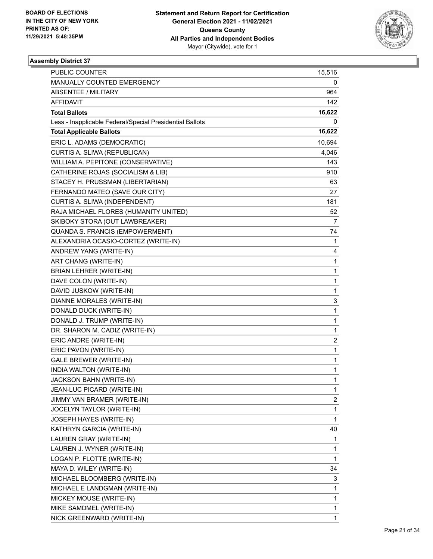

| PUBLIC COUNTER                                           | 15,516       |
|----------------------------------------------------------|--------------|
| MANUALLY COUNTED EMERGENCY                               | 0            |
| <b>ABSENTEE / MILITARY</b>                               | 964          |
| AFFIDAVIT                                                | 142          |
| <b>Total Ballots</b>                                     | 16,622       |
| Less - Inapplicable Federal/Special Presidential Ballots | 0            |
| <b>Total Applicable Ballots</b>                          | 16,622       |
| ERIC L. ADAMS (DEMOCRATIC)                               | 10,694       |
| CURTIS A. SLIWA (REPUBLICAN)                             | 4,046        |
| WILLIAM A. PEPITONE (CONSERVATIVE)                       | 143          |
| CATHERINE ROJAS (SOCIALISM & LIB)                        | 910          |
| STACEY H. PRUSSMAN (LIBERTARIAN)                         | 63           |
| FERNANDO MATEO (SAVE OUR CITY)                           | 27           |
| CURTIS A. SLIWA (INDEPENDENT)                            | 181          |
| RAJA MICHAEL FLORES (HUMANITY UNITED)                    | 52           |
| SKIBOKY STORA (OUT LAWBREAKER)                           | 7            |
| QUANDA S. FRANCIS (EMPOWERMENT)                          | 74           |
| ALEXANDRIA OCASIO-CORTEZ (WRITE-IN)                      | 1            |
| ANDREW YANG (WRITE-IN)                                   | 4            |
| ART CHANG (WRITE-IN)                                     | 1            |
| <b>BRIAN LEHRER (WRITE-IN)</b>                           | 1            |
| DAVE COLON (WRITE-IN)                                    | 1            |
| DAVID JUSKOW (WRITE-IN)                                  | 1            |
| DIANNE MORALES (WRITE-IN)                                | 3            |
| DONALD DUCK (WRITE-IN)                                   | 1            |
| DONALD J. TRUMP (WRITE-IN)                               | 1            |
| DR. SHARON M. CADIZ (WRITE-IN)                           | 1            |
| ERIC ANDRE (WRITE-IN)                                    | 2            |
| ERIC PAVON (WRITE-IN)                                    | 1            |
| <b>GALE BREWER (WRITE-IN)</b>                            | $\mathbf{1}$ |
| INDIA WALTON (WRITE-IN)                                  | 1            |
| JACKSON BAHN (WRITE-IN)                                  | 1            |
| JEAN-LUC PICARD (WRITE-IN)                               | 1            |
| JIMMY VAN BRAMER (WRITE-IN)                              | 2            |
| JOCELYN TAYLOR (WRITE-IN)                                | 1            |
| JOSEPH HAYES (WRITE-IN)                                  | 1            |
| KATHRYN GARCIA (WRITE-IN)                                | 40           |
| LAUREN GRAY (WRITE-IN)                                   | 1            |
| LAUREN J. WYNER (WRITE-IN)                               | 1            |
| LOGAN P. FLOTTE (WRITE-IN)                               | 1            |
| MAYA D. WILEY (WRITE-IN)                                 | 34           |
| MICHAEL BLOOMBERG (WRITE-IN)                             | 3            |
| MICHAEL E LANDGMAN (WRITE-IN)                            | 1            |
| MICKEY MOUSE (WRITE-IN)                                  | 1            |
| MIKE SAMDMEL (WRITE-IN)                                  | 1            |
| NICK GREENWARD (WRITE-IN)                                | 1            |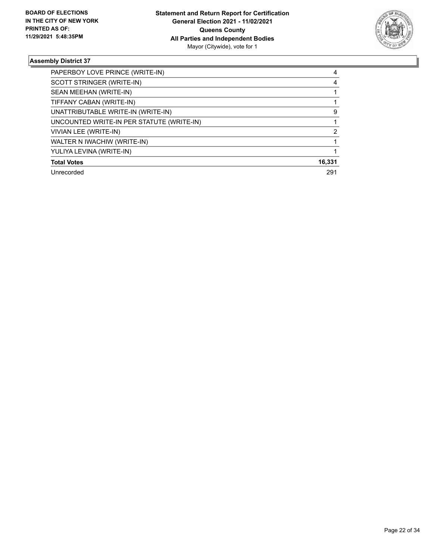

| PAPERBOY LOVE PRINCE (WRITE-IN)           | 4      |
|-------------------------------------------|--------|
| SCOTT STRINGER (WRITE-IN)                 | 4      |
| SEAN MEEHAN (WRITE-IN)                    |        |
| TIFFANY CABAN (WRITE-IN)                  |        |
| UNATTRIBUTABLE WRITE-IN (WRITE-IN)        | 9      |
| UNCOUNTED WRITE-IN PER STATUTE (WRITE-IN) |        |
| VIVIAN LEE (WRITE-IN)                     | 2      |
| WALTER N IWACHIW (WRITE-IN)               |        |
| YULIYA LEVINA (WRITE-IN)                  |        |
| <b>Total Votes</b>                        | 16,331 |
| Unrecorded                                | 291    |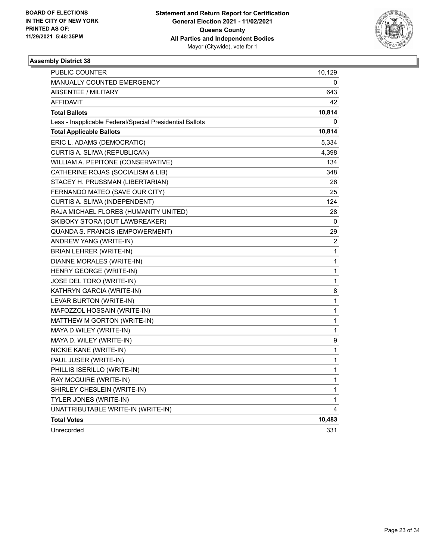

| PUBLIC COUNTER                                           | 10,129 |
|----------------------------------------------------------|--------|
| <b>MANUALLY COUNTED EMERGENCY</b>                        | 0      |
| <b>ABSENTEE / MILITARY</b>                               | 643    |
| <b>AFFIDAVIT</b>                                         | 42     |
| <b>Total Ballots</b>                                     | 10,814 |
| Less - Inapplicable Federal/Special Presidential Ballots | 0      |
| <b>Total Applicable Ballots</b>                          | 10,814 |
| ERIC L. ADAMS (DEMOCRATIC)                               | 5,334  |
| CURTIS A. SLIWA (REPUBLICAN)                             | 4,398  |
| WILLIAM A. PEPITONE (CONSERVATIVE)                       | 134    |
| CATHERINE ROJAS (SOCIALISM & LIB)                        | 348    |
| STACEY H. PRUSSMAN (LIBERTARIAN)                         | 26     |
| FERNANDO MATEO (SAVE OUR CITY)                           | 25     |
| CURTIS A. SLIWA (INDEPENDENT)                            | 124    |
| RAJA MICHAEL FLORES (HUMANITY UNITED)                    | 28     |
| SKIBOKY STORA (OUT LAWBREAKER)                           | 0      |
| QUANDA S. FRANCIS (EMPOWERMENT)                          | 29     |
| ANDREW YANG (WRITE-IN)                                   | 2      |
| BRIAN LEHRER (WRITE-IN)                                  | 1      |
| DIANNE MORALES (WRITE-IN)                                | 1      |
| HENRY GEORGE (WRITE-IN)                                  | 1      |
| JOSE DEL TORO (WRITE-IN)                                 | 1      |
| KATHRYN GARCIA (WRITE-IN)                                | 8      |
| LEVAR BURTON (WRITE-IN)                                  | 1      |
| MAFOZZOL HOSSAIN (WRITE-IN)                              | 1      |
| MATTHEW M GORTON (WRITE-IN)                              | 1      |
| MAYA D WILEY (WRITE-IN)                                  | 1      |
| MAYA D. WILEY (WRITE-IN)                                 | 9      |
| NICKIE KANE (WRITE-IN)                                   | 1      |
| PAUL JUSER (WRITE-IN)                                    | 1      |
| PHILLIS ISERILLO (WRITE-IN)                              | 1      |
| RAY MCGUIRE (WRITE-IN)                                   | 1      |
| SHIRLEY CHESLEIN (WRITE-IN)                              | 1      |
| TYLER JONES (WRITE-IN)                                   | 1      |
| UNATTRIBUTABLE WRITE-IN (WRITE-IN)                       | 4      |
| <b>Total Votes</b>                                       | 10,483 |
| Unrecorded                                               | 331    |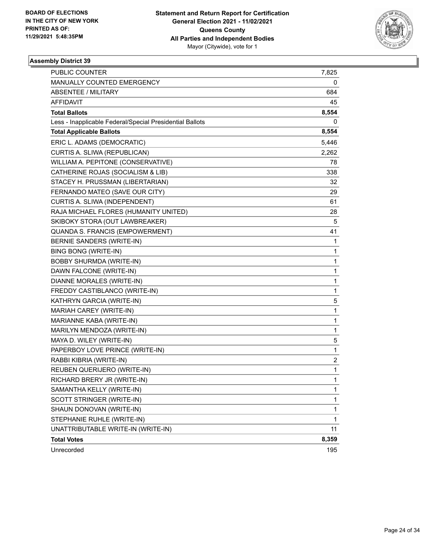

| PUBLIC COUNTER                                           | 7,825        |
|----------------------------------------------------------|--------------|
| MANUALLY COUNTED EMERGENCY                               | 0            |
| ABSENTEE / MILITARY                                      | 684          |
| AFFIDAVIT                                                | 45           |
| <b>Total Ballots</b>                                     | 8,554        |
| Less - Inapplicable Federal/Special Presidential Ballots | 0            |
| <b>Total Applicable Ballots</b>                          | 8,554        |
| ERIC L. ADAMS (DEMOCRATIC)                               | 5,446        |
| CURTIS A. SLIWA (REPUBLICAN)                             | 2,262        |
| WILLIAM A. PEPITONE (CONSERVATIVE)                       | 78           |
| CATHERINE ROJAS (SOCIALISM & LIB)                        | 338          |
| STACEY H. PRUSSMAN (LIBERTARIAN)                         | 32           |
| FERNANDO MATEO (SAVE OUR CITY)                           | 29           |
| CURTIS A. SLIWA (INDEPENDENT)                            | 61           |
| RAJA MICHAEL FLORES (HUMANITY UNITED)                    | 28           |
| SKIBOKY STORA (OUT LAWBREAKER)                           | 5            |
| QUANDA S. FRANCIS (EMPOWERMENT)                          | 41           |
| BERNIE SANDERS (WRITE-IN)                                | 1            |
| <b>BING BONG (WRITE-IN)</b>                              | 1            |
| <b>BOBBY SHURMDA (WRITE-IN)</b>                          | 1            |
| DAWN FALCONE (WRITE-IN)                                  | 1            |
| DIANNE MORALES (WRITE-IN)                                | 1            |
| FREDDY CASTIBLANCO (WRITE-IN)                            | 1            |
| KATHRYN GARCIA (WRITE-IN)                                | 5            |
| MARIAH CAREY (WRITE-IN)                                  | 1            |
| MARIANNE KABA (WRITE-IN)                                 | 1            |
| MARILYN MENDOZA (WRITE-IN)                               | 1            |
| MAYA D. WILEY (WRITE-IN)                                 | 5            |
| PAPERBOY LOVE PRINCE (WRITE-IN)                          | 1            |
| RABBI KIBRIA (WRITE-IN)                                  | 2            |
| REUBEN QUERIJERO (WRITE-IN)                              | 1            |
| RICHARD BRERY JR (WRITE-IN)                              | $\mathbf{1}$ |
| SAMANTHA KELLY (WRITE-IN)                                | 1            |
| SCOTT STRINGER (WRITE-IN)                                | 1            |
| SHAUN DONOVAN (WRITE-IN)                                 | 1            |
| STEPHANIE RUHLE (WRITE-IN)                               | 1            |
| UNATTRIBUTABLE WRITE-IN (WRITE-IN)                       | 11           |
| <b>Total Votes</b>                                       | 8,359        |
| Unrecorded                                               | 195          |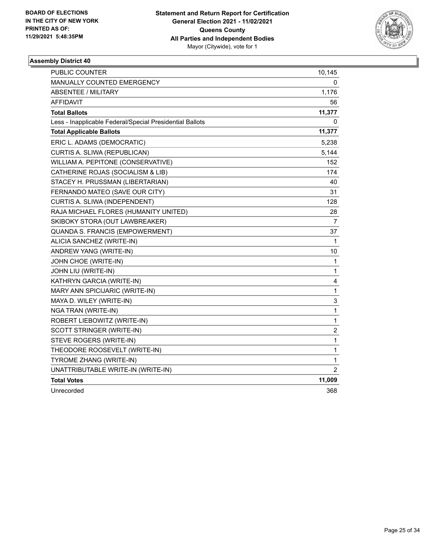

| <b>PUBLIC COUNTER</b>                                    | 10,145         |
|----------------------------------------------------------|----------------|
| MANUALLY COUNTED EMERGENCY                               | 0              |
| <b>ABSENTEE / MILITARY</b>                               | 1,176          |
| <b>AFFIDAVIT</b>                                         | 56             |
| <b>Total Ballots</b>                                     | 11,377         |
| Less - Inapplicable Federal/Special Presidential Ballots | 0              |
| <b>Total Applicable Ballots</b>                          | 11,377         |
| ERIC L. ADAMS (DEMOCRATIC)                               | 5,238          |
| CURTIS A. SLIWA (REPUBLICAN)                             | 5,144          |
| WILLIAM A. PEPITONE (CONSERVATIVE)                       | 152            |
| CATHERINE ROJAS (SOCIALISM & LIB)                        | 174            |
| STACEY H. PRUSSMAN (LIBERTARIAN)                         | 40             |
| FERNANDO MATEO (SAVE OUR CITY)                           | 31             |
| CURTIS A. SLIWA (INDEPENDENT)                            | 128            |
| RAJA MICHAEL FLORES (HUMANITY UNITED)                    | 28             |
| SKIBOKY STORA (OUT LAWBREAKER)                           | 7              |
| QUANDA S. FRANCIS (EMPOWERMENT)                          | 37             |
| ALICIA SANCHEZ (WRITE-IN)                                | $\mathbf{1}$   |
| ANDREW YANG (WRITE-IN)                                   | 10             |
| JOHN CHOE (WRITE-IN)                                     | $\mathbf{1}$   |
| JOHN LIU (WRITE-IN)                                      | $\mathbf{1}$   |
| KATHRYN GARCIA (WRITE-IN)                                | 4              |
| MARY ANN SPICIJARIC (WRITE-IN)                           | $\mathbf{1}$   |
| MAYA D. WILEY (WRITE-IN)                                 | 3              |
| NGA TRAN (WRITE-IN)                                      | $\mathbf{1}$   |
| ROBERT LIEBOWITZ (WRITE-IN)                              | $\mathbf{1}$   |
| SCOTT STRINGER (WRITE-IN)                                | $\overline{2}$ |
| STEVE ROGERS (WRITE-IN)                                  | $\mathbf{1}$   |
| THEODORE ROOSEVELT (WRITE-IN)                            | 1              |
| TYROME ZHANG (WRITE-IN)                                  | 1              |
| UNATTRIBUTABLE WRITE-IN (WRITE-IN)                       | $\overline{2}$ |
| <b>Total Votes</b>                                       | 11,009         |
| Unrecorded                                               | 368            |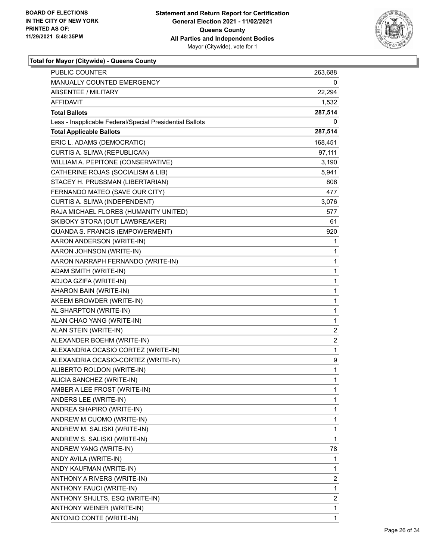

| PUBLIC COUNTER                                           | 263,688                 |
|----------------------------------------------------------|-------------------------|
| <b>MANUALLY COUNTED EMERGENCY</b>                        | 0                       |
| <b>ABSENTEE / MILITARY</b>                               | 22,294                  |
| AFFIDAVIT                                                | 1,532                   |
| <b>Total Ballots</b>                                     | 287,514                 |
| Less - Inapplicable Federal/Special Presidential Ballots | 0                       |
| <b>Total Applicable Ballots</b>                          | 287,514                 |
| ERIC L. ADAMS (DEMOCRATIC)                               | 168,451                 |
| CURTIS A. SLIWA (REPUBLICAN)                             | 97,111                  |
| WILLIAM A. PEPITONE (CONSERVATIVE)                       | 3,190                   |
| CATHERINE ROJAS (SOCIALISM & LIB)                        | 5,941                   |
| STACEY H. PRUSSMAN (LIBERTARIAN)                         | 806                     |
| FERNANDO MATEO (SAVE OUR CITY)                           | 477                     |
| CURTIS A. SLIWA (INDEPENDENT)                            | 3,076                   |
| RAJA MICHAEL FLORES (HUMANITY UNITED)                    | 577                     |
| SKIBOKY STORA (OUT LAWBREAKER)                           | 61                      |
| QUANDA S. FRANCIS (EMPOWERMENT)                          | 920                     |
| AARON ANDERSON (WRITE-IN)                                | 1                       |
| AARON JOHNSON (WRITE-IN)                                 | 1                       |
| AARON NARRAPH FERNANDO (WRITE-IN)                        | 1                       |
| ADAM SMITH (WRITE-IN)                                    | 1                       |
| ADJOA GZIFA (WRITE-IN)                                   | 1                       |
| AHARON BAIN (WRITE-IN)                                   | 1                       |
| AKEEM BROWDER (WRITE-IN)                                 | 1                       |
| AL SHARPTON (WRITE-IN)                                   | 1                       |
| ALAN CHAO YANG (WRITE-IN)                                | 1                       |
| ALAN STEIN (WRITE-IN)                                    | 2                       |
| ALEXANDER BOEHM (WRITE-IN)                               | $\overline{\mathbf{c}}$ |
| ALEXANDRIA OCASIO CORTEZ (WRITE-IN)                      | 1                       |
| ALEXANDRIA OCASIO-CORTEZ (WRITE-IN)                      | 9                       |
| ALIBERTO ROLDON (WRITE-IN)                               | 1                       |
| ALICIA SANCHEZ (WRITE-IN)                                | $\mathbf{1}$            |
| AMBER A LEE FROST (WRITE-IN)                             | 1                       |
| ANDERS LEE (WRITE-IN)                                    | 1                       |
| ANDREA SHAPIRO (WRITE-IN)                                | 1                       |
| ANDREW M CUOMO (WRITE-IN)                                | 1                       |
| ANDREW M. SALISKI (WRITE-IN)                             | 1                       |
| ANDREW S. SALISKI (WRITE-IN)                             | 1                       |
| ANDREW YANG (WRITE-IN)                                   | 78                      |
| ANDY AVILA (WRITE-IN)                                    | 1                       |
| ANDY KAUFMAN (WRITE-IN)                                  | 1                       |
| ANTHONY A RIVERS (WRITE-IN)                              | 2                       |
| ANTHONY FAUCI (WRITE-IN)                                 | 1                       |
| ANTHONY SHULTS, ESQ (WRITE-IN)                           | 2                       |
| ANTHONY WEINER (WRITE-IN)                                | 1                       |
| ANTONIO CONTE (WRITE-IN)                                 | 1                       |
|                                                          |                         |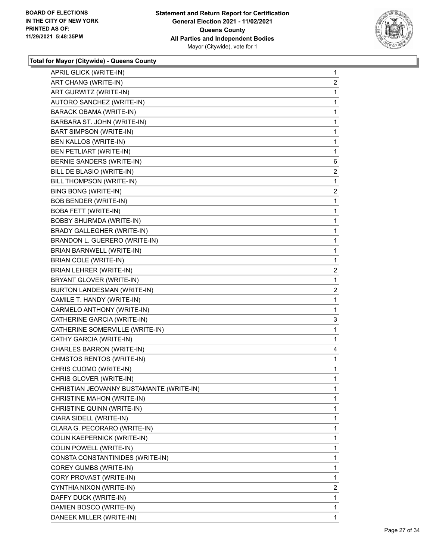

| APRIL GLICK (WRITE-IN)                   | 1              |
|------------------------------------------|----------------|
| ART CHANG (WRITE-IN)                     | $\overline{2}$ |
| ART GURWITZ (WRITE-IN)                   | 1              |
| AUTORO SANCHEZ (WRITE-IN)                | 1              |
| <b>BARACK OBAMA (WRITE-IN)</b>           | 1              |
| BARBARA ST. JOHN (WRITE-IN)              | 1              |
| BART SIMPSON (WRITE-IN)                  | 1              |
| BEN KALLOS (WRITE-IN)                    | 1              |
| <b>BEN PETLIART (WRITE-IN)</b>           | 1              |
| BERNIE SANDERS (WRITE-IN)                | 6              |
| BILL DE BLASIO (WRITE-IN)                | $\overline{2}$ |
| BILL THOMPSON (WRITE-IN)                 | 1              |
| <b>BING BONG (WRITE-IN)</b>              | 2              |
| <b>BOB BENDER (WRITE-IN)</b>             | 1              |
| <b>BOBA FETT (WRITE-IN)</b>              | 1              |
| <b>BOBBY SHURMDA (WRITE-IN)</b>          | 1              |
| <b>BRADY GALLEGHER (WRITE-IN)</b>        | 1              |
| BRANDON L. GUERERO (WRITE-IN)            | 1              |
| <b>BRIAN BARNWELL (WRITE-IN)</b>         | 1              |
| <b>BRIAN COLE (WRITE-IN)</b>             | 1              |
| BRIAN LEHRER (WRITE-IN)                  | $\overline{a}$ |
| BRYANT GLOVER (WRITE-IN)                 | 1              |
| BURTON LANDESMAN (WRITE-IN)              | $\overline{2}$ |
| CAMILE T. HANDY (WRITE-IN)               | 1              |
| CARMELO ANTHONY (WRITE-IN)               | 1              |
| CATHERINE GARCIA (WRITE-IN)              | 3              |
| CATHERINE SOMERVILLE (WRITE-IN)          | 1              |
| CATHY GARCIA (WRITE-IN)                  | 1              |
| CHARLES BARRON (WRITE-IN)                | 4              |
| CHMSTOS RENTOS (WRITE-IN)                | 1              |
| CHRIS CUOMO (WRITE-IN)                   | 1              |
| CHRIS GLOVER (WRITE-IN)                  | 1              |
| CHRISTIAN JEOVANNY BUSTAMANTE (WRITE-IN) | 1              |
| CHRISTINE MAHON (WRITE-IN)               | $\mathbf{1}$   |
| CHRISTINE QUINN (WRITE-IN)               | 1              |
| CIARA SIDELL (WRITE-IN)                  | 1              |
| CLARA G. PECORARO (WRITE-IN)             | 1              |
| COLIN KAEPERNICK (WRITE-IN)              | 1              |
| COLIN POWELL (WRITE-IN)                  | 1              |
| CONSTA CONSTANTINIDES (WRITE-IN)         | 1              |
| COREY GUMBS (WRITE-IN)                   | 1              |
| CORY PROVAST (WRITE-IN)                  | 1              |
| CYNTHIA NIXON (WRITE-IN)                 | $\overline{2}$ |
| DAFFY DUCK (WRITE-IN)                    | 1              |
| DAMIEN BOSCO (WRITE-IN)                  | 1              |
| DANEEK MILLER (WRITE-IN)                 | $\mathbf 1$    |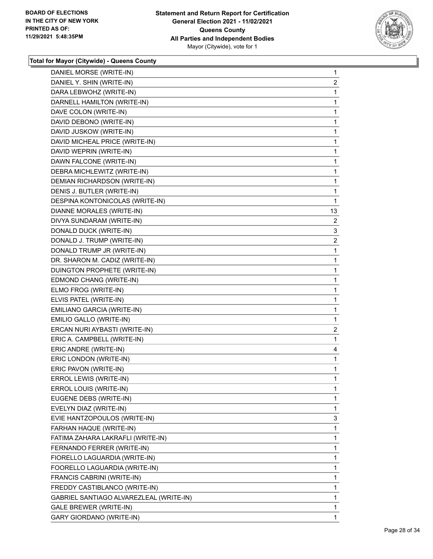

| DANIEL MORSE (WRITE-IN)                 | 1                       |
|-----------------------------------------|-------------------------|
| DANIEL Y. SHIN (WRITE-IN)               | $\mathbf{2}$            |
| DARA LEBWOHZ (WRITE-IN)                 | $\mathbf{1}$            |
| DARNELL HAMILTON (WRITE-IN)             | 1                       |
| DAVE COLON (WRITE-IN)                   | 1                       |
| DAVID DEBONO (WRITE-IN)                 | 1                       |
| DAVID JUSKOW (WRITE-IN)                 | 1                       |
| DAVID MICHEAL PRICE (WRITE-IN)          | 1                       |
| DAVID WEPRIN (WRITE-IN)                 | 1                       |
| DAWN FALCONE (WRITE-IN)                 | 1                       |
| DEBRA MICHLEWITZ (WRITE-IN)             | 1                       |
| DEMIAN RICHARDSON (WRITE-IN)            | 1                       |
| DENIS J. BUTLER (WRITE-IN)              | 1                       |
| DESPINA KONTONICOLAS (WRITE-IN)         | 1                       |
| DIANNE MORALES (WRITE-IN)               | 13                      |
| DIVYA SUNDARAM (WRITE-IN)               | 2                       |
| DONALD DUCK (WRITE-IN)                  | 3                       |
| DONALD J. TRUMP (WRITE-IN)              | 2                       |
| DONALD TRUMP JR (WRITE-IN)              | 1                       |
| DR. SHARON M. CADIZ (WRITE-IN)          | 1                       |
| DUINGTON PROPHETE (WRITE-IN)            | 1                       |
| EDMOND CHANG (WRITE-IN)                 | 1                       |
| ELMO FROG (WRITE-IN)                    | 1                       |
| ELVIS PATEL (WRITE-IN)                  | 1                       |
| EMILIANO GARCIA (WRITE-IN)              | 1                       |
| EMILIO GALLO (WRITE-IN)                 | 1                       |
| ERCAN NURI AYBASTI (WRITE-IN)           | $\overline{\mathbf{c}}$ |
| ERIC A. CAMPBELL (WRITE-IN)             | 1                       |
| ERIC ANDRE (WRITE-IN)                   | 4                       |
| ERIC LONDON (WRITE-IN)                  | 1                       |
| ERIC PAVON (WRITE-IN)                   | 1                       |
| ERROL LEWIS (WRITE-IN)                  | 1                       |
| ERROL LOUIS (WRITE-IN)                  | 1                       |
| EUGENE DEBS (WRITE-IN)                  | 1                       |
| EVELYN DIAZ (WRITE-IN)                  | 1                       |
| EVIE HANTZOPOULOS (WRITE-IN)            | 3                       |
| FARHAN HAQUE (WRITE-IN)                 | 1                       |
| FATIMA ZAHARA LAKRAFLI (WRITE-IN)       | 1                       |
| FERNANDO FERRER (WRITE-IN)              | 1                       |
| FIORELLO LAGUARDIA (WRITE-IN)           | 1                       |
| FOORELLO LAGUARDIA (WRITE-IN)           | 1                       |
| FRANCIS CABRINI (WRITE-IN)              | 1                       |
| FREDDY CASTIBLANCO (WRITE-IN)           | 1                       |
| GABRIEL SANTIAGO ALVAREZLEAL (WRITE-IN) | 1                       |
| GALE BREWER (WRITE-IN)                  | 1                       |
| <b>GARY GIORDANO (WRITE-IN)</b>         | 1                       |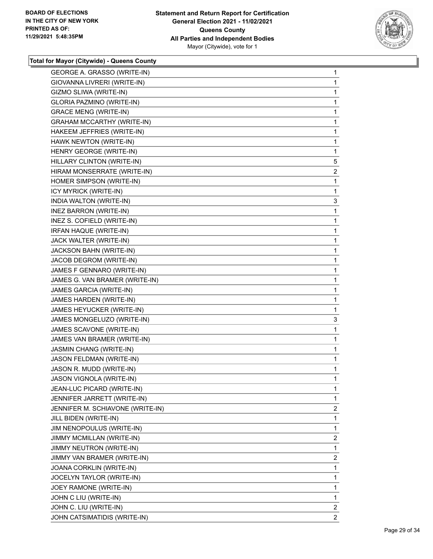

| GEORGE A. GRASSO (WRITE-IN)      | $\mathbf{1}$   |
|----------------------------------|----------------|
| GIOVANNA LIVRERI (WRITE-IN)      | 1              |
| GIZMO SLIWA (WRITE-IN)           | 1              |
| GLORIA PAZMINO (WRITE-IN)        | 1              |
| <b>GRACE MENG (WRITE-IN)</b>     | 1              |
| GRAHAM MCCARTHY (WRITE-IN)       | 1              |
| HAKEEM JEFFRIES (WRITE-IN)       | 1              |
| HAWK NEWTON (WRITE-IN)           | 1              |
| HENRY GEORGE (WRITE-IN)          | 1              |
| HILLARY CLINTON (WRITE-IN)       | 5              |
| HIRAM MONSERRATE (WRITE-IN)      | 2              |
| HOMER SIMPSON (WRITE-IN)         | 1              |
| ICY MYRICK (WRITE-IN)            | 1              |
| INDIA WALTON (WRITE-IN)          | 3              |
| <b>INEZ BARRON (WRITE-IN)</b>    | 1              |
| INEZ S. COFIELD (WRITE-IN)       | 1              |
| IRFAN HAQUE (WRITE-IN)           | 1              |
| JACK WALTER (WRITE-IN)           | 1              |
| JACKSON BAHN (WRITE-IN)          | 1              |
| JACOB DEGROM (WRITE-IN)          | 1              |
| JAMES F GENNARO (WRITE-IN)       | 1              |
| JAMES G. VAN BRAMER (WRITE-IN)   | 1              |
| JAMES GARCIA (WRITE-IN)          | 1              |
| JAMES HARDEN (WRITE-IN)          | 1              |
| JAMES HEYUCKER (WRITE-IN)        | 1              |
| JAMES MONGELUZO (WRITE-IN)       | 3              |
| JAMES SCAVONE (WRITE-IN)         | 1              |
| JAMES VAN BRAMER (WRITE-IN)      | 1              |
| JASMIN CHANG (WRITE-IN)          | 1              |
| JASON FELDMAN (WRITE-IN)         | 1              |
| JASON R. MUDD (WRITE-IN)         | 1              |
| JASON VIGNOLA (WRITE-IN)         | 1              |
| JEAN-LUC PICARD (WRITE-IN)       | 1              |
| JENNIFER JARRETT (WRITE-IN)      | 1              |
| JENNIFER M. SCHIAVONE (WRITE-IN) | 2              |
| JILL BIDEN (WRITE-IN)            | 1              |
| JIM NENOPOULUS (WRITE-IN)        | 1              |
| <b>JIMMY MCMILLAN (WRITE-IN)</b> | $\overline{2}$ |
| JIMMY NEUTRON (WRITE-IN)         | 1              |
| JIMMY VAN BRAMER (WRITE-IN)      | $\overline{2}$ |
| JOANA CORKLIN (WRITE-IN)         | 1              |
| JOCELYN TAYLOR (WRITE-IN)        | 1              |
| JOEY RAMONE (WRITE-IN)           | 1              |
| JOHN C LIU (WRITE-IN)            | 1              |
| JOHN C. LIU (WRITE-IN)           | $\overline{2}$ |
| JOHN CATSIMATIDIS (WRITE-IN)     | $\overline{2}$ |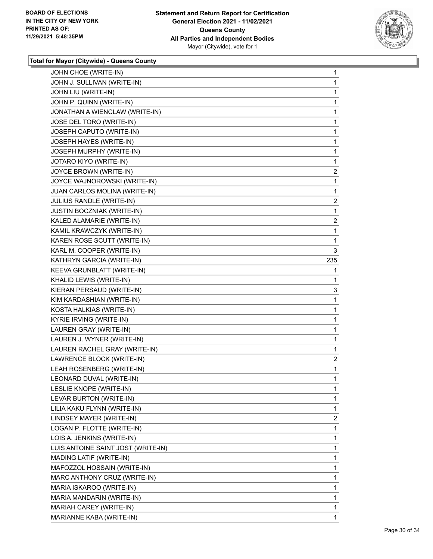

| JOHN CHOE (WRITE-IN)               | $\mathbf{1}$   |
|------------------------------------|----------------|
| JOHN J. SULLIVAN (WRITE-IN)        | 1              |
| JOHN LIU (WRITE-IN)                | 1              |
| JOHN P. QUINN (WRITE-IN)           | 1              |
| JONATHAN A WIENCLAW (WRITE-IN)     | 1              |
| JOSE DEL TORO (WRITE-IN)           | 1              |
| JOSEPH CAPUTO (WRITE-IN)           | 1              |
| JOSEPH HAYES (WRITE-IN)            | 1              |
| JOSEPH MURPHY (WRITE-IN)           | 1              |
| JOTARO KIYO (WRITE-IN)             | 1              |
| JOYCE BROWN (WRITE-IN)             | $\overline{2}$ |
| JOYCE WAJNOROWSKI (WRITE-IN)       | 1              |
| JUAN CARLOS MOLINA (WRITE-IN)      | 1              |
| JULIUS RANDLE (WRITE-IN)           | $\overline{2}$ |
| <b>JUSTIN BOCZNIAK (WRITE-IN)</b>  | 1              |
| KALED ALAMARIE (WRITE-IN)          | $\overline{2}$ |
| KAMIL KRAWCZYK (WRITE-IN)          | 1              |
| KAREN ROSE SCUTT (WRITE-IN)        | 1              |
| KARL M. COOPER (WRITE-IN)          | 3              |
| KATHRYN GARCIA (WRITE-IN)          | 235            |
| KEEVA GRUNBLATT (WRITE-IN)         | 1              |
| KHALID LEWIS (WRITE-IN)            | 1              |
| KIERAN PERSAUD (WRITE-IN)          | 3              |
| KIM KARDASHIAN (WRITE-IN)          | 1              |
| KOSTA HALKIAS (WRITE-IN)           | 1              |
| KYRIE IRVING (WRITE-IN)            | 1              |
| LAUREN GRAY (WRITE-IN)             | 1              |
| LAUREN J. WYNER (WRITE-IN)         | 1              |
| LAUREN RACHEL GRAY (WRITE-IN)      | 1              |
| LAWRENCE BLOCK (WRITE-IN)          | $\overline{a}$ |
| LEAH ROSENBERG (WRITE-IN)          | 1              |
| LEONARD DUVAL (WRITE-IN)           | 1              |
| LESLIE KNOPE (WRITE-IN)            | 1              |
| LEVAR BURTON (WRITE-IN)            | 1              |
| LILIA KAKU FLYNN (WRITE-IN)        | 1              |
| LINDSEY MAYER (WRITE-IN)           | 2              |
| LOGAN P. FLOTTE (WRITE-IN)         | 1              |
| LOIS A. JENKINS (WRITE-IN)         | 1              |
| LUIS ANTOINE SAINT JOST (WRITE-IN) | 1              |
| MADING LATIF (WRITE-IN)            | 1              |
| MAFOZZOL HOSSAIN (WRITE-IN)        | 1              |
| MARC ANTHONY CRUZ (WRITE-IN)       | 1              |
| MARIA ISKAROO (WRITE-IN)           | 1              |
| MARIA MANDARIN (WRITE-IN)          | 1              |
| MARIAH CAREY (WRITE-IN)            | 1              |
| MARIANNE KABA (WRITE-IN)           | 1              |
|                                    |                |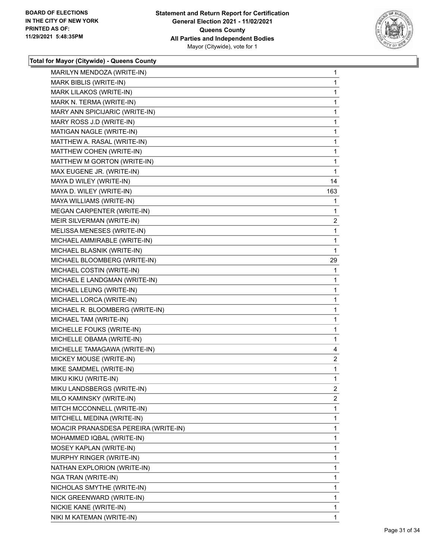

| MARILYN MENDOZA (WRITE-IN)           | $\mathbf{1}$            |
|--------------------------------------|-------------------------|
| MARK BIBLIS (WRITE-IN)               | 1                       |
| MARK LILAKOS (WRITE-IN)              | 1                       |
| MARK N. TERMA (WRITE-IN)             | 1                       |
| MARY ANN SPICIJARIC (WRITE-IN)       | 1                       |
| MARY ROSS J.D (WRITE-IN)             | 1                       |
| MATIGAN NAGLE (WRITE-IN)             | 1                       |
| MATTHEW A. RASAL (WRITE-IN)          | 1                       |
| MATTHEW COHEN (WRITE-IN)             | 1                       |
| MATTHEW M GORTON (WRITE-IN)          | 1                       |
| MAX EUGENE JR. (WRITE-IN)            | 1                       |
| MAYA D WILEY (WRITE-IN)              | 14                      |
| MAYA D. WILEY (WRITE-IN)             | 163                     |
| MAYA WILLIAMS (WRITE-IN)             | 1                       |
| MEGAN CARPENTER (WRITE-IN)           | 1                       |
| MEIR SILVERMAN (WRITE-IN)            | 2                       |
| MELISSA MENESES (WRITE-IN)           | 1                       |
| MICHAEL AMMIRABLE (WRITE-IN)         | 1                       |
| MICHAEL BLASNIK (WRITE-IN)           | $\mathbf 1$             |
| MICHAEL BLOOMBERG (WRITE-IN)         | 29                      |
| MICHAEL COSTIN (WRITE-IN)            | 1                       |
| MICHAEL E LANDGMAN (WRITE-IN)        | 1                       |
| MICHAEL LEUNG (WRITE-IN)             | 1                       |
| MICHAEL LORCA (WRITE-IN)             | 1                       |
| MICHAEL R. BLOOMBERG (WRITE-IN)      | 1                       |
| MICHAEL TAM (WRITE-IN)               | 1                       |
| MICHELLE FOUKS (WRITE-IN)            | 1                       |
| MICHELLE OBAMA (WRITE-IN)            | 1                       |
| MICHELLE TAMAGAWA (WRITE-IN)         | 4                       |
| MICKEY MOUSE (WRITE-IN)              | $\overline{\mathbf{c}}$ |
| MIKE SAMDMEL (WRITE-IN)              | 1                       |
| MIKU KIKU (WRITE-IN)                 | 1                       |
| MIKU LANDSBERGS (WRITE-IN)           | 2                       |
| MILO KAMINSKY (WRITE-IN)             | 2                       |
| MITCH MCCONNELL (WRITE-IN)           | 1                       |
| MITCHELL MEDINA (WRITE-IN)           | 1                       |
| MOACIR PRANASDESA PEREIRA (WRITE-IN) | 1                       |
| MOHAMMED IQBAL (WRITE-IN)            | 1                       |
| MOSEY KAPLAN (WRITE-IN)              | 1                       |
| MURPHY RINGER (WRITE-IN)             | 1                       |
| NATHAN EXPLORION (WRITE-IN)          | 1                       |
| NGA TRAN (WRITE-IN)                  | 1                       |
| NICHOLAS SMYTHE (WRITE-IN)           | 1                       |
| NICK GREENWARD (WRITE-IN)            | 1                       |
| NICKIE KANE (WRITE-IN)               | 1                       |
| NIKI M KATEMAN (WRITE-IN)            | $\mathbf{1}$            |
|                                      |                         |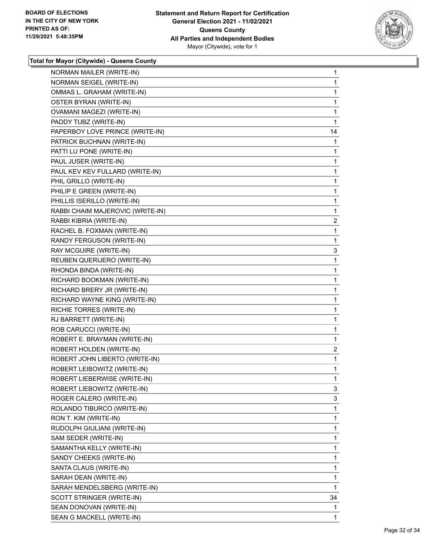

| <b>NORMAN MAILER (WRITE-IN)</b>  | $\mathbf 1$    |
|----------------------------------|----------------|
| NORMAN SEIGEL (WRITE-IN)         | 1              |
| OMMAS L. GRAHAM (WRITE-IN)       | 1              |
| <b>OSTER BYRAN (WRITE-IN)</b>    | 1              |
| OVAMANI MAGEZI (WRITE-IN)        | 1              |
| PADDY TUBZ (WRITE-IN)            | 1              |
| PAPERBOY LOVE PRINCE (WRITE-IN)  | 14             |
| PATRICK BUCHNAN (WRITE-IN)       | 1              |
| PATTI LU PONE (WRITE-IN)         | 1              |
| PAUL JUSER (WRITE-IN)            | 1              |
| PAUL KEV KEV FULLARD (WRITE-IN)  | 1              |
| PHIL GRILLO (WRITE-IN)           | 1              |
| PHILIP E GREEN (WRITE-IN)        | 1              |
| PHILLIS ISERILLO (WRITE-IN)      | 1              |
| RABBI CHAIM MAJEROVIC (WRITE-IN) | 1              |
| RABBI KIBRIA (WRITE-IN)          | $\overline{2}$ |
| RACHEL B. FOXMAN (WRITE-IN)      | 1              |
| RANDY FERGUSON (WRITE-IN)        | 1              |
| RAY MCGUIRE (WRITE-IN)           | 3              |
| REUBEN QUERIJERO (WRITE-IN)      | 1              |
| RHONDA BINDA (WRITE-IN)          | 1              |
| RICHARD BOOKMAN (WRITE-IN)       | 1              |
| RICHARD BRERY JR (WRITE-IN)      | 1              |
| RICHARD WAYNE KING (WRITE-IN)    | 1              |
| RICHIE TORRES (WRITE-IN)         | 1              |
| RJ BARRETT (WRITE-IN)            | 1              |
| ROB CARUCCI (WRITE-IN)           | 1              |
| ROBERT E. BRAYMAN (WRITE-IN)     | 1              |
| ROBERT HOLDEN (WRITE-IN)         | $\overline{c}$ |
| ROBERT JOHN LIBERTO (WRITE-IN)   | 1              |
| ROBERT LEIBOWITZ (WRITE-IN)      | 1              |
| ROBERT LIEBERWISE (WRITE-IN)     | 1              |
| ROBERT LIEBOWITZ (WRITE-IN)      | 3              |
| ROGER CALERO (WRITE-IN)          | 3              |
| ROLANDO TIBURCO (WRITE-IN)       | 1              |
| RON T. KIM (WRITE-IN)            | 1              |
| RUDOLPH GIULIANI (WRITE-IN)      | 1              |
| SAM SEDER (WRITE-IN)             | 1              |
| SAMANTHA KELLY (WRITE-IN)        | 1              |
| SANDY CHEEKS (WRITE-IN)          | 1              |
| SANTA CLAUS (WRITE-IN)           | 1              |
| SARAH DEAN (WRITE-IN)            | 1              |
| SARAH MENDELSBERG (WRITE-IN)     | 1              |
| SCOTT STRINGER (WRITE-IN)        | 34             |
| SEAN DONOVAN (WRITE-IN)          | 1              |
| SEAN G MACKELL (WRITE-IN)        | 1.             |
|                                  |                |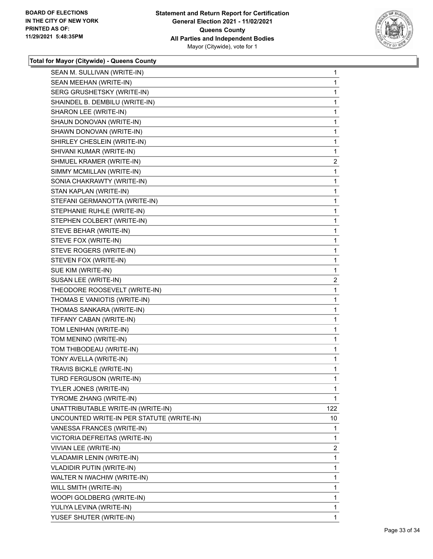

| SEAN M. SULLIVAN (WRITE-IN)               | 1              |
|-------------------------------------------|----------------|
| SEAN MEEHAN (WRITE-IN)                    | 1              |
| SERG GRUSHETSKY (WRITE-IN)                | 1              |
| SHAINDEL B. DEMBILU (WRITE-IN)            | 1              |
| SHARON LEE (WRITE-IN)                     | 1              |
| SHAUN DONOVAN (WRITE-IN)                  | 1              |
| SHAWN DONOVAN (WRITE-IN)                  | 1              |
| SHIRLEY CHESLEIN (WRITE-IN)               | 1              |
| SHIVANI KUMAR (WRITE-IN)                  | 1              |
| SHMUEL KRAMER (WRITE-IN)                  | $\overline{2}$ |
| SIMMY MCMILLAN (WRITE-IN)                 | 1              |
| SONIA CHAKRAWTY (WRITE-IN)                | 1              |
| STAN KAPLAN (WRITE-IN)                    | 1              |
| STEFANI GERMANOTTA (WRITE-IN)             | 1              |
| STEPHANIE RUHLE (WRITE-IN)                | $\mathbf{1}$   |
| STEPHEN COLBERT (WRITE-IN)                | 1              |
| STEVE BEHAR (WRITE-IN)                    | 1              |
| STEVE FOX (WRITE-IN)                      | 1              |
| STEVE ROGERS (WRITE-IN)                   | 1              |
| STEVEN FOX (WRITE-IN)                     | 1              |
| SUE KIM (WRITE-IN)                        | 1              |
| SUSAN LEE (WRITE-IN)                      | $\overline{2}$ |
| THEODORE ROOSEVELT (WRITE-IN)             | 1              |
| THOMAS E VANIOTIS (WRITE-IN)              | $\mathbf{1}$   |
| THOMAS SANKARA (WRITE-IN)                 | 1              |
| TIFFANY CABAN (WRITE-IN)                  | 1              |
| TOM LENIHAN (WRITE-IN)                    | 1              |
| TOM MENINO (WRITE-IN)                     | 1              |
| TOM THIBODEAU (WRITE-IN)                  | 1              |
| TONY AVELLA (WRITE-IN)                    | $\mathbf{1}$   |
| TRAVIS BICKLE (WRITE-IN)                  | 1              |
| TURD FERGUSON (WRITE-IN)                  | 1              |
| TYLER JONES (WRITE-IN)                    | 1              |
| TYROME ZHANG (WRITE-IN)                   | $\mathbf{1}$   |
| UNATTRIBUTABLE WRITE-IN (WRITE-IN)        | 122            |
| UNCOUNTED WRITE-IN PER STATUTE (WRITE-IN) | 10             |
| VANESSA FRANCES (WRITE-IN)                | 1              |
| VICTORIA DEFREITAS (WRITE-IN)             | 1              |
| VIVIAN LEE (WRITE-IN)                     | $\overline{2}$ |
| VLADAMIR LENIN (WRITE-IN)                 | 1              |
| <b>VLADIDIR PUTIN (WRITE-IN)</b>          | 1              |
| WALTER N IWACHIW (WRITE-IN)               | 1              |
| WILL SMITH (WRITE-IN)                     | 1              |
| WOOPI GOLDBERG (WRITE-IN)                 | 1              |
| YULIYA LEVINA (WRITE-IN)                  | 1              |
| YUSEF SHUTER (WRITE-IN)                   | 1              |